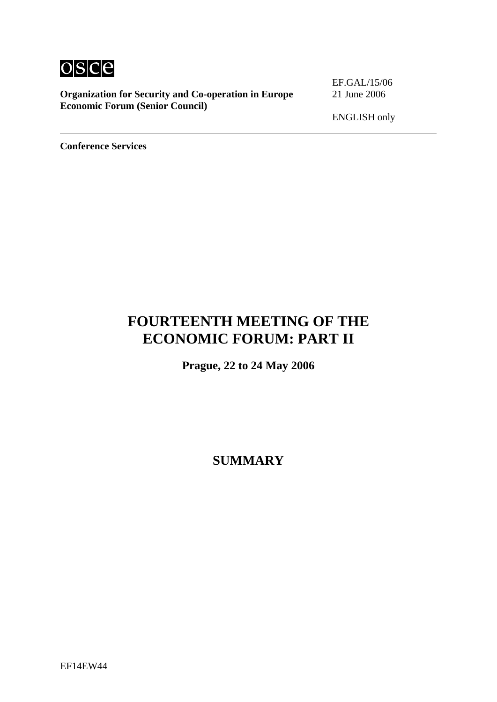

**Organization for Security and Co-operation in Europe** 21 June 2006 **Economic Forum (Senior Council)**

EF.GAL/15/06

ENGLISH only

**Conference Services** 

# **FOURTEENTH MEETING OF THE ECONOMIC FORUM: PART II**

**Prague, 22 to 24 May 2006** 

**SUMMARY**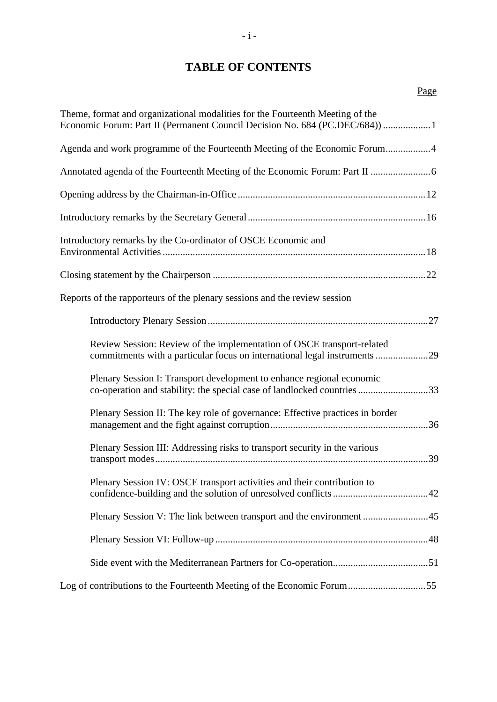# **TABLE OF CONTENTS**

| Theme, format and organizational modalities for the Fourteenth Meeting of the<br>Economic Forum: Part II (Permanent Council Decision No. 684 (PC.DEC/684)) 1 |
|--------------------------------------------------------------------------------------------------------------------------------------------------------------|
| Agenda and work programme of the Fourteenth Meeting of the Economic Forum4                                                                                   |
|                                                                                                                                                              |
|                                                                                                                                                              |
|                                                                                                                                                              |
| Introductory remarks by the Co-ordinator of OSCE Economic and                                                                                                |
|                                                                                                                                                              |
| Reports of the rapporteurs of the plenary sessions and the review session                                                                                    |
|                                                                                                                                                              |
| Review Session: Review of the implementation of OSCE transport-related<br>commitments with a particular focus on international legal instruments 29          |
| Plenary Session I: Transport development to enhance regional economic<br>co-operation and stability: the special case of landlocked countries 33             |
| Plenary Session II: The key role of governance: Effective practices in border                                                                                |
| Plenary Session III: Addressing risks to transport security in the various                                                                                   |
| Plenary Session IV: OSCE transport activities and their contribution to                                                                                      |
| Plenary Session V: The link between transport and the environment 45                                                                                         |
|                                                                                                                                                              |
|                                                                                                                                                              |
| Log of contributions to the Fourteenth Meeting of the Economic Forum55                                                                                       |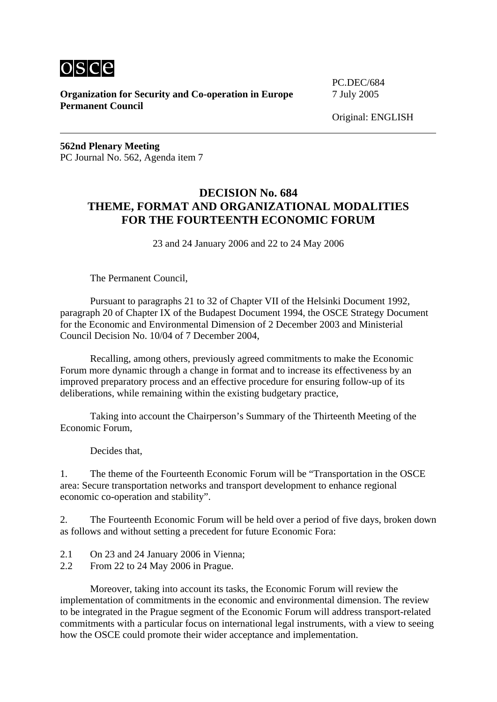

**Organization for Security and Co-operation in Europe** 7 July 2005 **Permanent Council** 

PC.DEC/684

**562nd Plenary Meeting**  PC Journal No. 562, Agenda item 7

# **DECISION No. 684 THEME, FORMAT AND ORGANIZATIONAL MODALITIES FOR THE FOURTEENTH ECONOMIC FORUM**

23 and 24 January 2006 and 22 to 24 May 2006

The Permanent Council,

 Pursuant to paragraphs 21 to 32 of Chapter VII of the Helsinki Document 1992, paragraph 20 of Chapter IX of the Budapest Document 1994, the OSCE Strategy Document for the Economic and Environmental Dimension of 2 December 2003 and Ministerial Council Decision No. 10/04 of 7 December 2004,

 Recalling, among others, previously agreed commitments to make the Economic Forum more dynamic through a change in format and to increase its effectiveness by an improved preparatory process and an effective procedure for ensuring follow-up of its deliberations, while remaining within the existing budgetary practice,

 Taking into account the Chairperson's Summary of the Thirteenth Meeting of the Economic Forum,

Decides that,

1. The theme of the Fourteenth Economic Forum will be "Transportation in the OSCE area: Secure transportation networks and transport development to enhance regional economic co-operation and stability".

2. The Fourteenth Economic Forum will be held over a period of five days, broken down as follows and without setting a precedent for future Economic Fora:

- 2.1 On 23 and 24 January 2006 in Vienna;
- 2.2 From 22 to 24 May 2006 in Prague.

 Moreover, taking into account its tasks, the Economic Forum will review the implementation of commitments in the economic and environmental dimension. The review to be integrated in the Prague segment of the Economic Forum will address transport-related commitments with a particular focus on international legal instruments, with a view to seeing how the OSCE could promote their wider acceptance and implementation.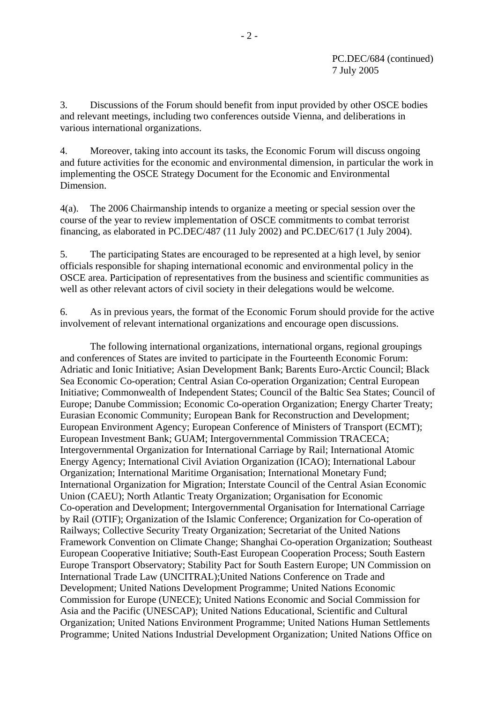PC.DEC/684 (continued) 7 July 2005

3. Discussions of the Forum should benefit from input provided by other OSCE bodies and relevant meetings, including two conferences outside Vienna, and deliberations in various international organizations.

4. Moreover, taking into account its tasks, the Economic Forum will discuss ongoing and future activities for the economic and environmental dimension, in particular the work in implementing the OSCE Strategy Document for the Economic and Environmental Dimension.

4(a). The 2006 Chairmanship intends to organize a meeting or special session over the course of the year to review implementation of OSCE commitments to combat terrorist financing, as elaborated in PC.DEC/487 (11 July 2002) and PC.DEC/617 (1 July 2004).

5. The participating States are encouraged to be represented at a high level, by senior officials responsible for shaping international economic and environmental policy in the OSCE area. Participation of representatives from the business and scientific communities as well as other relevant actors of civil society in their delegations would be welcome.

6. As in previous years, the format of the Economic Forum should provide for the active involvement of relevant international organizations and encourage open discussions.

 The following international organizations, international organs, regional groupings and conferences of States are invited to participate in the Fourteenth Economic Forum: Adriatic and Ionic Initiative; Asian Development Bank; Barents Euro-Arctic Council; Black Sea Economic Co-operation; Central Asian Co-operation Organization; Central European Initiative; Commonwealth of Independent States; Council of the Baltic Sea States; Council of Europe; Danube Commission; Economic Co-operation Organization; Energy Charter Treaty; Eurasian Economic Community; European Bank for Reconstruction and Development; European Environment Agency; European Conference of Ministers of Transport (ECMT); European Investment Bank; GUAM; Intergovernmental Commission TRACECA; Intergovernmental Organization for International Carriage by Rail; International Atomic Energy Agency; International Civil Aviation Organization (ICAO); International Labour Organization; International Maritime Organisation; International Monetary Fund; International Organization for Migration; Interstate Council of the Central Asian Economic Union (CAEU); North Atlantic Treaty Organization; Organisation for Economic Co-operation and Development; Intergovernmental Organisation for International Carriage by Rail (OTIF); Organization of the Islamic Conference; Organization for Co-operation of Railways; Collective Security Treaty Organization; Secretariat of the United Nations Framework Convention on Climate Change; Shanghai Co-operation Organization; Southeast European Cooperative Initiative; South-East European Cooperation Process; South Eastern Europe Transport Observatory; Stability Pact for South Eastern Europe; UN Commission on International Trade Law (UNCITRAL);United Nations Conference on Trade and Development; United Nations Development Programme; United Nations Economic Commission for Europe (UNECE); United Nations Economic and Social Commission for Asia and the Pacific (UNESCAP); United Nations Educational, Scientific and Cultural Organization; United Nations Environment Programme; United Nations Human Settlements Programme; United Nations Industrial Development Organization; United Nations Office on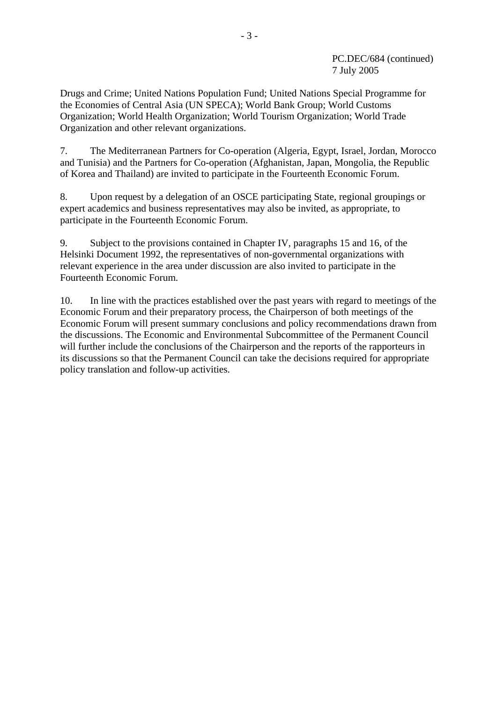### PC.DEC/684 (continued) 7 July 2005

Drugs and Crime; United Nations Population Fund; United Nations Special Programme for the Economies of Central Asia (UN SPECA); World Bank Group; World Customs Organization; World Health Organization; World Tourism Organization; World Trade Organization and other relevant organizations.

7. The Mediterranean Partners for Co-operation (Algeria, Egypt, Israel, Jordan, Morocco and Tunisia) and the Partners for Co-operation (Afghanistan, Japan, Mongolia, the Republic of Korea and Thailand) are invited to participate in the Fourteenth Economic Forum.

8. Upon request by a delegation of an OSCE participating State, regional groupings or expert academics and business representatives may also be invited, as appropriate, to participate in the Fourteenth Economic Forum.

9. Subject to the provisions contained in Chapter IV, paragraphs 15 and 16, of the Helsinki Document 1992, the representatives of non-governmental organizations with relevant experience in the area under discussion are also invited to participate in the Fourteenth Economic Forum.

10. In line with the practices established over the past years with regard to meetings of the Economic Forum and their preparatory process, the Chairperson of both meetings of the Economic Forum will present summary conclusions and policy recommendations drawn from the discussions. The Economic and Environmental Subcommittee of the Permanent Council will further include the conclusions of the Chairperson and the reports of the rapporteurs in its discussions so that the Permanent Council can take the decisions required for appropriate policy translation and follow-up activities.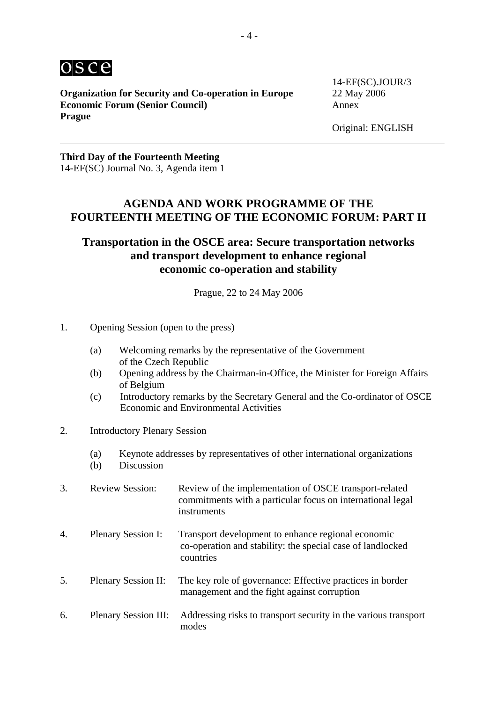

**Organization for Security and Co-operation in Europe** 22 May 2006 **Economic Forum (Senior Council)** Annex **Prague** 

14-EF(SC).JOUR/3

### **Third Day of the Fourteenth Meeting**  14-EF(SC) Journal No. 3, Agenda item 1

# **AGENDA AND WORK PROGRAMME OF THE FOURTEENTH MEETING OF THE ECONOMIC FORUM: PART II**

# **Transportation in the OSCE area: Secure transportation networks and transport development to enhance regional economic co-operation and stability**

Prague, 22 to 24 May 2006

- 1. Opening Session (open to the press)
	- (a) Welcoming remarks by the representative of the Government of the Czech Republic
	- (b) Opening address by the Chairman-in-Office, the Minister for Foreign Affairs of Belgium
	- (c) Introductory remarks by the Secretary General and the Co-ordinator of OSCE Economic and Environmental Activities
- 2. Introductory Plenary Session
	- (a) Keynote addresses by representatives of other international organizations
	- (b) Discussion
- 3. Review Session: Review of the implementation of OSCE transport-related commitments with a particular focus on international legal instruments
- 4. Plenary Session I: Transport development to enhance regional economic co-operation and stability: the special case of landlocked countries
- 5. Plenary Session II: The key role of governance: Effective practices in border management and the fight against corruption
- 6. Plenary Session III: Addressing risks to transport security in the various transport modes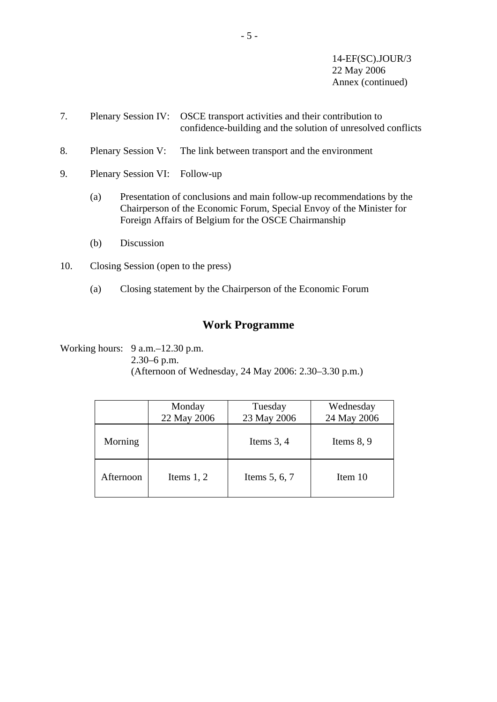14-EF(SC).JOUR/3 22 May 2006 Annex (continued)

- 7. Plenary Session IV: OSCE transport activities and their contribution to confidence-building and the solution of unresolved conflicts
- 8. Plenary Session V: The link between transport and the environment
- 9. Plenary Session VI: Follow-up
	- (a) Presentation of conclusions and main follow-up recommendations by the Chairperson of the Economic Forum, Special Envoy of the Minister for Foreign Affairs of Belgium for the OSCE Chairmanship
	- (b) Discussion
- 10. Closing Session (open to the press)
	- (a) Closing statement by the Chairperson of the Economic Forum

# **Work Programme**

Working hours: 9 a.m.–12.30 p.m. 2.30–6 p.m. (Afternoon of Wednesday, 24 May 2006: 2.30–3.30 p.m.)

|           | Monday<br>22 May 2006 | Tuesday<br>23 May 2006 | Wednesday<br>24 May 2006 |
|-----------|-----------------------|------------------------|--------------------------|
| Morning   |                       | Items $3, 4$           | Items $8, 9$             |
| Afternoon | Items $1, 2$          | Items $5, 6, 7$        | Item 10                  |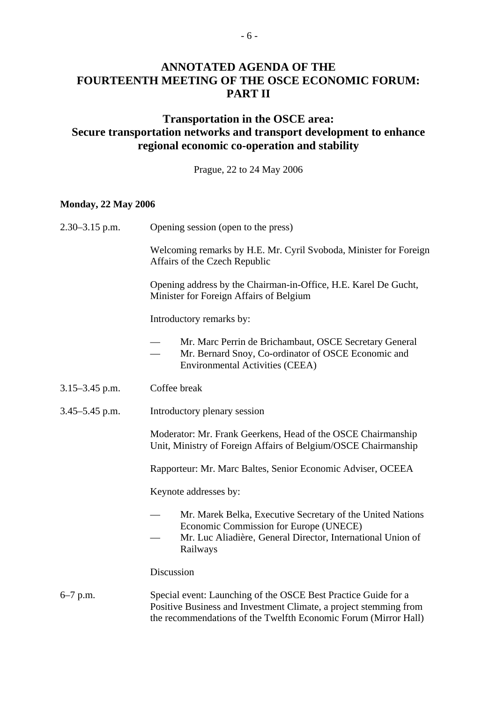# **ANNOTATED AGENDA OF THE FOURTEENTH MEETING OF THE OSCE ECONOMIC FORUM: PART II**

# **Transportation in the OSCE area: Secure transportation networks and transport development to enhance regional economic co-operation and stability**

Prague, 22 to 24 May 2006

#### **Monday, 22 May 2006**

| $2.30 - 3.15$ p.m. | Opening session (open to the press)                                                                                                                                                                    |  |  |  |
|--------------------|--------------------------------------------------------------------------------------------------------------------------------------------------------------------------------------------------------|--|--|--|
|                    | Welcoming remarks by H.E. Mr. Cyril Svoboda, Minister for Foreign<br>Affairs of the Czech Republic                                                                                                     |  |  |  |
|                    | Opening address by the Chairman-in-Office, H.E. Karel De Gucht,<br>Minister for Foreign Affairs of Belgium                                                                                             |  |  |  |
|                    | Introductory remarks by:                                                                                                                                                                               |  |  |  |
|                    | Mr. Marc Perrin de Brichambaut, OSCE Secretary General<br>Mr. Bernard Snoy, Co-ordinator of OSCE Economic and<br><b>Environmental Activities (CEEA)</b>                                                |  |  |  |
| $3.15 - 3.45$ p.m. | Coffee break                                                                                                                                                                                           |  |  |  |
| $3.45 - 5.45$ p.m. | Introductory plenary session                                                                                                                                                                           |  |  |  |
|                    | Moderator: Mr. Frank Geerkens, Head of the OSCE Chairmanship<br>Unit, Ministry of Foreign Affairs of Belgium/OSCE Chairmanship                                                                         |  |  |  |
|                    | Rapporteur: Mr. Marc Baltes, Senior Economic Adviser, OCEEA                                                                                                                                            |  |  |  |
|                    | Keynote addresses by:                                                                                                                                                                                  |  |  |  |
|                    | Mr. Marek Belka, Executive Secretary of the United Nations<br>Economic Commission for Europe (UNECE)<br>Mr. Luc Aliadière, General Director, International Union of<br>Railways                        |  |  |  |
|                    | Discussion                                                                                                                                                                                             |  |  |  |
| $6-7$ p.m.         | Special event: Launching of the OSCE Best Practice Guide for a<br>Positive Business and Investment Climate, a project stemming from<br>the recommendations of the Twelfth Economic Forum (Mirror Hall) |  |  |  |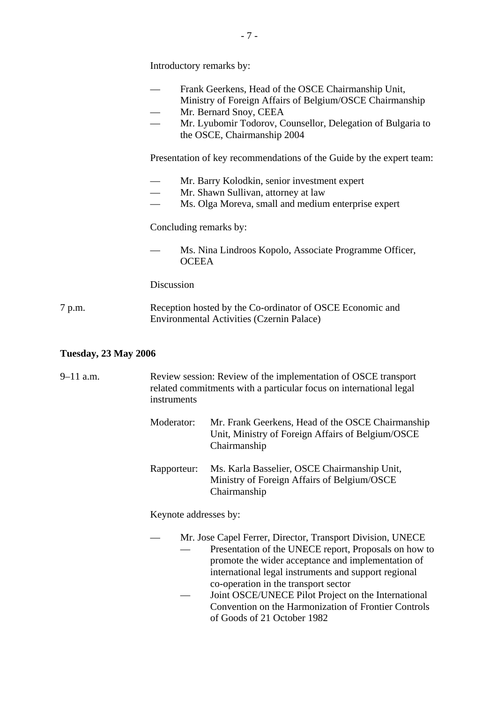|        | Introductory remarks by:                                                                                                                                                                                                                |
|--------|-----------------------------------------------------------------------------------------------------------------------------------------------------------------------------------------------------------------------------------------|
|        | Frank Geerkens, Head of the OSCE Chairmanship Unit,<br>Ministry of Foreign Affairs of Belgium/OSCE Chairmanship<br>Mr. Bernard Snoy, CEEA<br>Mr. Lyubomir Todorov, Counsellor, Delegation of Bulgaria to<br>the OSCE, Chairmanship 2004 |
|        | Presentation of key recommendations of the Guide by the expert team:                                                                                                                                                                    |
|        | Mr. Barry Kolodkin, senior investment expert<br>Mr. Shawn Sullivan, attorney at law<br>Ms. Olga Moreva, small and medium enterprise expert                                                                                              |
|        | Concluding remarks by:                                                                                                                                                                                                                  |
|        | Ms. Nina Lindroos Kopolo, Associate Programme Officer,<br><b>OCEEA</b>                                                                                                                                                                  |
|        | Discussion                                                                                                                                                                                                                              |
| 7 p.m. | Reception hosted by the Co-ordinator of OSCE Economic and<br>Environmental Activities (Czernin Palace)                                                                                                                                  |

# **Tuesday, 23 May 2006**

| $9 - 11$ a.m. | Review session: Review of the implementation of OSCE transport<br>related commitments with a particular focus on international legal<br>instruments |                                                                                                                                                                                                                                                                                                                                                                                                                         |  |  |
|---------------|-----------------------------------------------------------------------------------------------------------------------------------------------------|-------------------------------------------------------------------------------------------------------------------------------------------------------------------------------------------------------------------------------------------------------------------------------------------------------------------------------------------------------------------------------------------------------------------------|--|--|
|               | Moderator:                                                                                                                                          | Mr. Frank Geerkens, Head of the OSCE Chairmanship<br>Unit, Ministry of Foreign Affairs of Belgium/OSCE<br>Chairmanship                                                                                                                                                                                                                                                                                                  |  |  |
|               | Rapporteur:                                                                                                                                         | Ms. Karla Basselier, OSCE Chairmanship Unit,<br>Ministry of Foreign Affairs of Belgium/OSCE<br>Chairmanship                                                                                                                                                                                                                                                                                                             |  |  |
|               | Keynote addresses by:                                                                                                                               |                                                                                                                                                                                                                                                                                                                                                                                                                         |  |  |
|               |                                                                                                                                                     | Mr. Jose Capel Ferrer, Director, Transport Division, UNECE<br>Presentation of the UNECE report, Proposals on how to<br>promote the wider acceptance and implementation of<br>international legal instruments and support regional<br>co-operation in the transport sector<br>Joint OSCE/UNECE Pilot Project on the International<br>Convention on the Harmonization of Frontier Controls<br>of Goods of 21 October 1982 |  |  |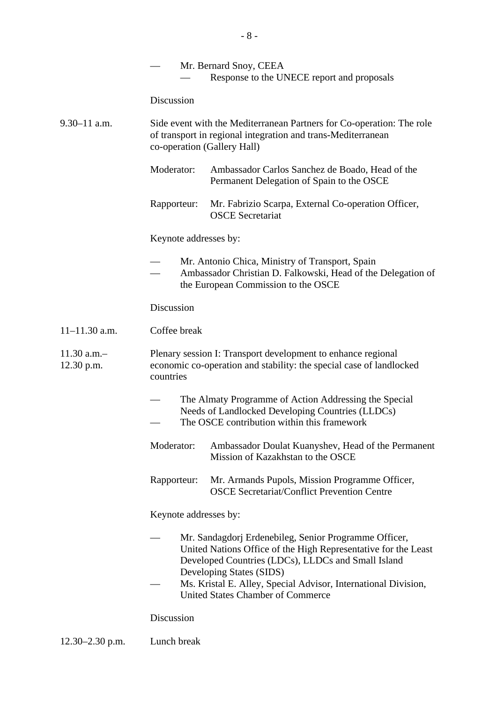|                             |                                                                                                                                                                      | Mr. Bernard Snoy, CEEA<br>Response to the UNECE report and proposals                                                                                                                                                                                                                                                    |  |  |  |
|-----------------------------|----------------------------------------------------------------------------------------------------------------------------------------------------------------------|-------------------------------------------------------------------------------------------------------------------------------------------------------------------------------------------------------------------------------------------------------------------------------------------------------------------------|--|--|--|
|                             | Discussion                                                                                                                                                           |                                                                                                                                                                                                                                                                                                                         |  |  |  |
| $9.30 - 11$ a.m.            | Side event with the Mediterranean Partners for Co-operation: The role<br>of transport in regional integration and trans-Mediterranean<br>co-operation (Gallery Hall) |                                                                                                                                                                                                                                                                                                                         |  |  |  |
|                             | Moderator:                                                                                                                                                           | Ambassador Carlos Sanchez de Boado, Head of the<br>Permanent Delegation of Spain to the OSCE                                                                                                                                                                                                                            |  |  |  |
|                             | Rapporteur:                                                                                                                                                          | Mr. Fabrizio Scarpa, External Co-operation Officer,<br><b>OSCE</b> Secretariat                                                                                                                                                                                                                                          |  |  |  |
|                             | Keynote addresses by:                                                                                                                                                |                                                                                                                                                                                                                                                                                                                         |  |  |  |
|                             | Mr. Antonio Chica, Ministry of Transport, Spain<br>Ambassador Christian D. Falkowski, Head of the Delegation of<br>the European Commission to the OSCE               |                                                                                                                                                                                                                                                                                                                         |  |  |  |
|                             | Discussion                                                                                                                                                           |                                                                                                                                                                                                                                                                                                                         |  |  |  |
| $11 - 11.30$ a.m.           | Coffee break                                                                                                                                                         |                                                                                                                                                                                                                                                                                                                         |  |  |  |
| $11.30$ a.m.-<br>12.30 p.m. | Plenary session I: Transport development to enhance regional<br>economic co-operation and stability: the special case of landlocked<br>countries                     |                                                                                                                                                                                                                                                                                                                         |  |  |  |
|                             | The Almaty Programme of Action Addressing the Special<br>Needs of Landlocked Developing Countries (LLDCs)<br>The OSCE contribution within this framework             |                                                                                                                                                                                                                                                                                                                         |  |  |  |
|                             | Moderator:                                                                                                                                                           | Ambassador Doulat Kuanyshev, Head of the Permanent<br>Mission of Kazakhstan to the OSCE                                                                                                                                                                                                                                 |  |  |  |
|                             | Rapporteur:                                                                                                                                                          | Mr. Armands Pupols, Mission Programme Officer,<br><b>OSCE Secretariat/Conflict Prevention Centre</b>                                                                                                                                                                                                                    |  |  |  |
|                             | Keynote addresses by:                                                                                                                                                |                                                                                                                                                                                                                                                                                                                         |  |  |  |
|                             |                                                                                                                                                                      | Mr. Sandagdorj Erdenebileg, Senior Programme Officer,<br>United Nations Office of the High Representative for the Least<br>Developed Countries (LDCs), LLDCs and Small Island<br>Developing States (SIDS)<br>Ms. Kristal E. Alley, Special Advisor, International Division,<br><b>United States Chamber of Commerce</b> |  |  |  |
|                             | Discussion                                                                                                                                                           |                                                                                                                                                                                                                                                                                                                         |  |  |  |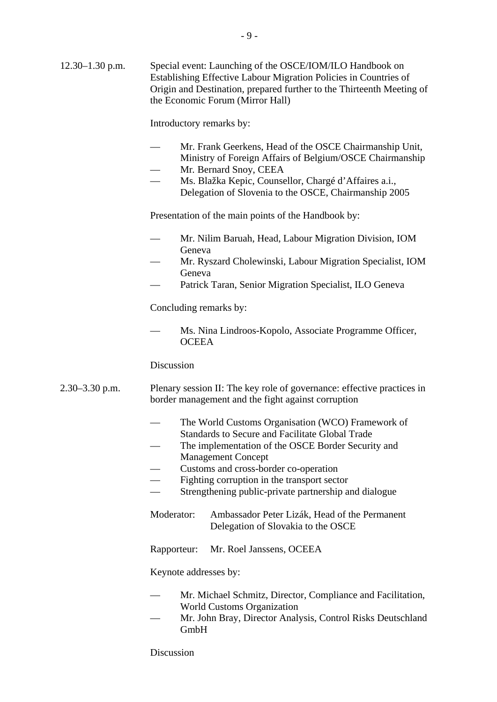Introductory remarks by:

 $-9-$ 

- Mr. Frank Geerkens, Head of the OSCE Chairmanship Unit, Ministry of Foreign Affairs of Belgium/OSCE Chairmanship
- Mr*.* Bernard Snoy, CEEA
- Ms. Blažka Kepic, Counsellor, Chargé d'Affaires a.i., Delegation of Slovenia to the OSCE, Chairmanship 2005

Presentation of the main points of the Handbook by:

- Mr. Nilim Baruah, Head, Labour Migration Division, IOM Geneva
- Mr. Ryszard Cholewinski, Labour Migration Specialist, IOM Geneva
- Patrick Taran, Senior Migration Specialist, ILO Geneva

Concluding remarks by:

Ms. Nina Lindroos-Kopolo, Associate Programme Officer, **OCEEA** 

#### Discussion

- 2.30–3.30 p.m. Plenary session II: The key role of governance: effective practices in border management and the fight against corruption
	- The World Customs Organisation (WCO) Framework of
	- Standards to Secure and Facilitate Global Trade
	- The implementation of the OSCE Border Security and Management Concept
	- Customs and cross-border co-operation
	- Fighting corruption in the transport sector
	- Strengthening public-private partnership and dialogue
	- Moderator: Ambassador Peter Lizák, Head of the Permanent Delegation of Slovakia to the OSCE
	- Rapporteur: Mr. Roel Janssens, OCEEA

Keynote addresses by:

- Mr. Michael Schmitz, Director, Compliance and Facilitation, World Customs Organization
- Mr. John Bray, Director Analysis, Control Risks Deutschland GmbH

Discussion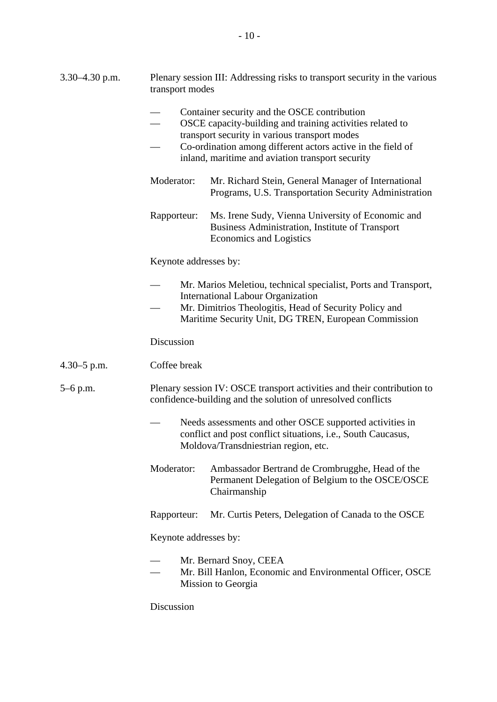| 3.30–4.30 p.m.  | Plenary session III: Addressing risks to transport security in the various<br>transport modes                                                                                                                                                                                 |  |  |  |  |
|-----------------|-------------------------------------------------------------------------------------------------------------------------------------------------------------------------------------------------------------------------------------------------------------------------------|--|--|--|--|
|                 | Container security and the OSCE contribution<br>OSCE capacity-building and training activities related to<br>transport security in various transport modes<br>Co-ordination among different actors active in the field of<br>inland, maritime and aviation transport security |  |  |  |  |
|                 | Moderator:<br>Mr. Richard Stein, General Manager of International<br>Programs, U.S. Transportation Security Administration                                                                                                                                                    |  |  |  |  |
|                 | Ms. Irene Sudy, Vienna University of Economic and<br>Rapporteur:<br>Business Administration, Institute of Transport<br>Economics and Logistics                                                                                                                                |  |  |  |  |
|                 | Keynote addresses by:                                                                                                                                                                                                                                                         |  |  |  |  |
|                 | Mr. Marios Meletiou, technical specialist, Ports and Transport,<br><b>International Labour Organization</b><br>Mr. Dimitrios Theologitis, Head of Security Policy and<br>Maritime Security Unit, DG TREN, European Commission                                                 |  |  |  |  |
|                 | Discussion                                                                                                                                                                                                                                                                    |  |  |  |  |
| $4.30 - 5$ p.m. | Coffee break                                                                                                                                                                                                                                                                  |  |  |  |  |
| $5-6$ p.m.      | Plenary session IV: OSCE transport activities and their contribution to<br>confidence-building and the solution of unresolved conflicts                                                                                                                                       |  |  |  |  |
|                 | Needs assessments and other OSCE supported activities in<br>conflict and post conflict situations, i.e., South Caucasus,<br>Moldova/Transdniestrian region, etc.                                                                                                              |  |  |  |  |
|                 | Moderator:<br>Ambassador Bertrand de Crombrugghe, Head of the<br>Permanent Delegation of Belgium to the OSCE/OSCE<br>Chairmanship                                                                                                                                             |  |  |  |  |
|                 | Mr. Curtis Peters, Delegation of Canada to the OSCE<br>Rapporteur:                                                                                                                                                                                                            |  |  |  |  |
|                 | Keynote addresses by:                                                                                                                                                                                                                                                         |  |  |  |  |
|                 | Mr. Bernard Snoy, CEEA<br>Mr. Bill Hanlon, Economic and Environmental Officer, OSCE<br>Mission to Georgia                                                                                                                                                                     |  |  |  |  |
|                 | Discussion                                                                                                                                                                                                                                                                    |  |  |  |  |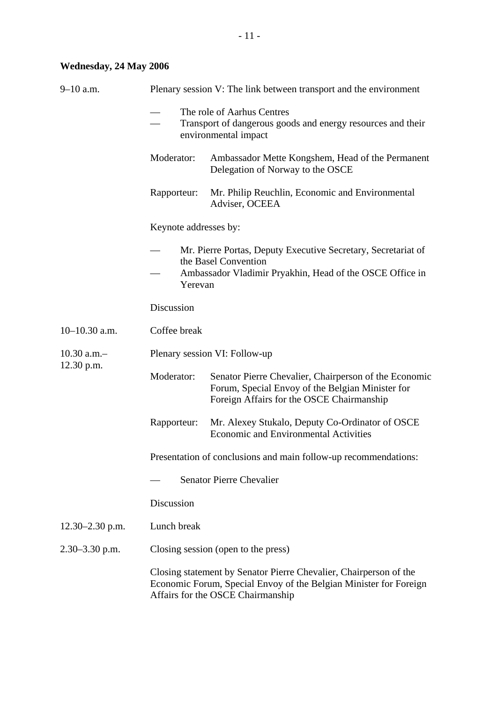# **Wednesday, 24 May 2006**

| $9 - 10$ a.m.       | Plenary session V: The link between transport and the environment                                                                                                           |                                                                                                                                                        |  |  |  |
|---------------------|-----------------------------------------------------------------------------------------------------------------------------------------------------------------------------|--------------------------------------------------------------------------------------------------------------------------------------------------------|--|--|--|
|                     | The role of Aarhus Centres<br>Transport of dangerous goods and energy resources and their<br>environmental impact                                                           |                                                                                                                                                        |  |  |  |
|                     | Moderator:<br>Ambassador Mette Kongshem, Head of the Permanent<br>Delegation of Norway to the OSCE                                                                          |                                                                                                                                                        |  |  |  |
|                     | Rapporteur:                                                                                                                                                                 | Mr. Philip Reuchlin, Economic and Environmental<br>Adviser, OCEEA                                                                                      |  |  |  |
|                     | Keynote addresses by:                                                                                                                                                       |                                                                                                                                                        |  |  |  |
|                     | Mr. Pierre Portas, Deputy Executive Secretary, Secretariat of<br>the Basel Convention<br>Ambassador Vladimir Pryakhin, Head of the OSCE Office in<br>Yerevan                |                                                                                                                                                        |  |  |  |
|                     | Discussion                                                                                                                                                                  |                                                                                                                                                        |  |  |  |
| $10-10.30$ a.m.     | Coffee break                                                                                                                                                                |                                                                                                                                                        |  |  |  |
| $10.30$ a.m.-       | Plenary session VI: Follow-up                                                                                                                                               |                                                                                                                                                        |  |  |  |
| 12.30 p.m.          | Moderator:                                                                                                                                                                  | Senator Pierre Chevalier, Chairperson of the Economic<br>Forum, Special Envoy of the Belgian Minister for<br>Foreign Affairs for the OSCE Chairmanship |  |  |  |
|                     | Rapporteur:                                                                                                                                                                 | Mr. Alexey Stukalo, Deputy Co-Ordinator of OSCE<br><b>Economic and Environmental Activities</b>                                                        |  |  |  |
|                     | Presentation of conclusions and main follow-up recommendations:                                                                                                             |                                                                                                                                                        |  |  |  |
|                     | <b>Senator Pierre Chevalier</b>                                                                                                                                             |                                                                                                                                                        |  |  |  |
|                     | Discussion                                                                                                                                                                  |                                                                                                                                                        |  |  |  |
| $12.30 - 2.30$ p.m. | Lunch break                                                                                                                                                                 |                                                                                                                                                        |  |  |  |
| $2.30 - 3.30$ p.m.  | Closing session (open to the press)                                                                                                                                         |                                                                                                                                                        |  |  |  |
|                     | Closing statement by Senator Pierre Chevalier, Chairperson of the<br>Economic Forum, Special Envoy of the Belgian Minister for Foreign<br>Affairs for the OSCE Chairmanship |                                                                                                                                                        |  |  |  |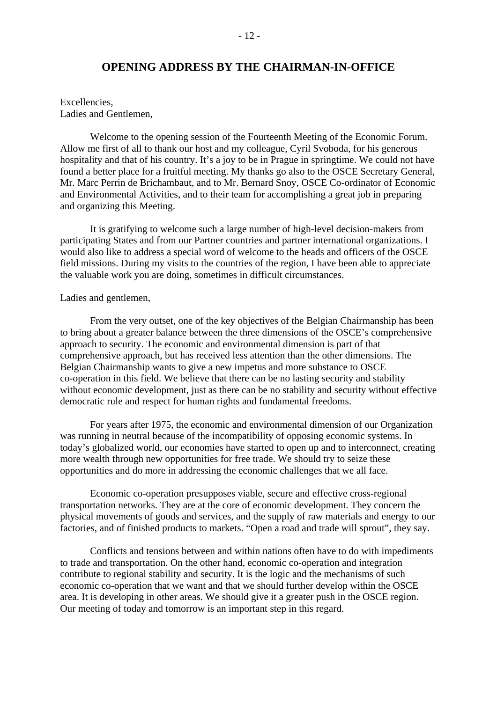### **OPENING ADDRESS BY THE CHAIRMAN-IN-OFFICE**

Excellencies, Ladies and Gentlemen,

 Welcome to the opening session of the Fourteenth Meeting of the Economic Forum. Allow me first of all to thank our host and my colleague, Cyril Svoboda, for his generous hospitality and that of his country. It's a joy to be in Prague in springtime. We could not have found a better place for a fruitful meeting. My thanks go also to the OSCE Secretary General, Mr. Marc Perrin de Brichambaut, and to Mr. Bernard Snoy, OSCE Co-ordinator of Economic and Environmental Activities, and to their team for accomplishing a great job in preparing and organizing this Meeting.

 It is gratifying to welcome such a large number of high-level decision-makers from participating States and from our Partner countries and partner international organizations. I would also like to address a special word of welcome to the heads and officers of the OSCE field missions. During my visits to the countries of the region, I have been able to appreciate the valuable work you are doing, sometimes in difficult circumstances.

#### Ladies and gentlemen,

 From the very outset, one of the key objectives of the Belgian Chairmanship has been to bring about a greater balance between the three dimensions of the OSCE's comprehensive approach to security. The economic and environmental dimension is part of that comprehensive approach, but has received less attention than the other dimensions. The Belgian Chairmanship wants to give a new impetus and more substance to OSCE co-operation in this field. We believe that there can be no lasting security and stability without economic development, just as there can be no stability and security without effective democratic rule and respect for human rights and fundamental freedoms.

 For years after 1975, the economic and environmental dimension of our Organization was running in neutral because of the incompatibility of opposing economic systems. In today's globalized world, our economies have started to open up and to interconnect, creating more wealth through new opportunities for free trade. We should try to seize these opportunities and do more in addressing the economic challenges that we all face.

 Economic co-operation presupposes viable, secure and effective cross-regional transportation networks. They are at the core of economic development. They concern the physical movements of goods and services, and the supply of raw materials and energy to our factories, and of finished products to markets. "Open a road and trade will sprout", they say.

 Conflicts and tensions between and within nations often have to do with impediments to trade and transportation. On the other hand, economic co-operation and integration contribute to regional stability and security. It is the logic and the mechanisms of such economic co-operation that we want and that we should further develop within the OSCE area. It is developing in other areas. We should give it a greater push in the OSCE region. Our meeting of today and tomorrow is an important step in this regard.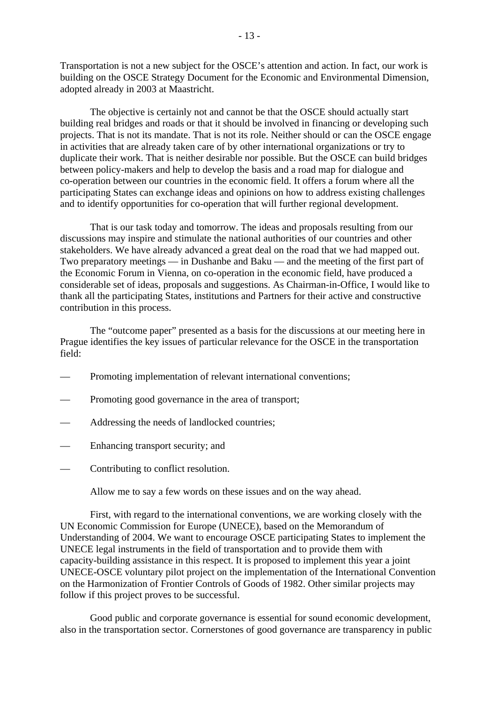Transportation is not a new subject for the OSCE's attention and action. In fact, our work is building on the OSCE Strategy Document for the Economic and Environmental Dimension, adopted already in 2003 at Maastricht.

 The objective is certainly not and cannot be that the OSCE should actually start building real bridges and roads or that it should be involved in financing or developing such projects. That is not its mandate. That is not its role. Neither should or can the OSCE engage in activities that are already taken care of by other international organizations or try to duplicate their work. That is neither desirable nor possible. But the OSCE can build bridges between policy-makers and help to develop the basis and a road map for dialogue and co-operation between our countries in the economic field. It offers a forum where all the participating States can exchange ideas and opinions on how to address existing challenges and to identify opportunities for co-operation that will further regional development.

 That is our task today and tomorrow. The ideas and proposals resulting from our discussions may inspire and stimulate the national authorities of our countries and other stakeholders. We have already advanced a great deal on the road that we had mapped out. Two preparatory meetings — in Dushanbe and Baku — and the meeting of the first part of the Economic Forum in Vienna, on co-operation in the economic field, have produced a considerable set of ideas, proposals and suggestions. As Chairman-in-Office, I would like to thank all the participating States, institutions and Partners for their active and constructive contribution in this process.

 The "outcome paper" presented as a basis for the discussions at our meeting here in Prague identifies the key issues of particular relevance for the OSCE in the transportation field:

- Promoting implementation of relevant international conventions;
- Promoting good governance in the area of transport;
- Addressing the needs of landlocked countries;
- Enhancing transport security; and
- Contributing to conflict resolution.

Allow me to say a few words on these issues and on the way ahead.

 First, with regard to the international conventions, we are working closely with the UN Economic Commission for Europe (UNECE), based on the Memorandum of Understanding of 2004. We want to encourage OSCE participating States to implement the UNECE legal instruments in the field of transportation and to provide them with capacity-building assistance in this respect. It is proposed to implement this year a joint UNECE-OSCE voluntary pilot project on the implementation of the International Convention on the Harmonization of Frontier Controls of Goods of 1982. Other similar projects may follow if this project proves to be successful.

 Good public and corporate governance is essential for sound economic development, also in the transportation sector. Cornerstones of good governance are transparency in public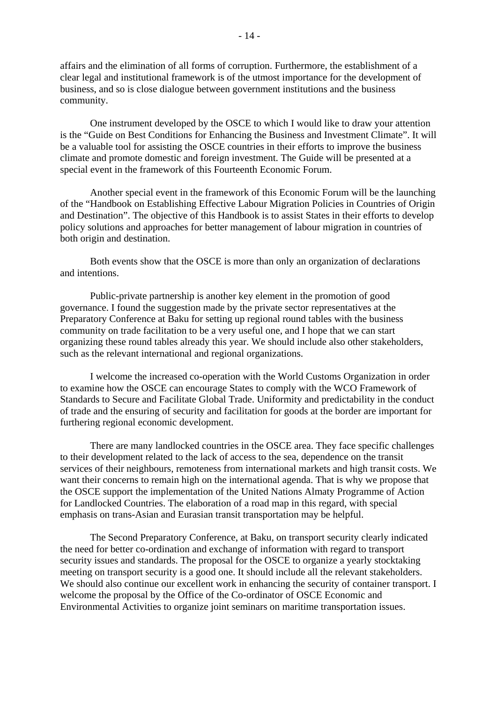affairs and the elimination of all forms of corruption. Furthermore, the establishment of a clear legal and institutional framework is of the utmost importance for the development of business, and so is close dialogue between government institutions and the business community.

 One instrument developed by the OSCE to which I would like to draw your attention is the "Guide on Best Conditions for Enhancing the Business and Investment Climate". It will be a valuable tool for assisting the OSCE countries in their efforts to improve the business climate and promote domestic and foreign investment. The Guide will be presented at a special event in the framework of this Fourteenth Economic Forum.

 Another special event in the framework of this Economic Forum will be the launching of the "Handbook on Establishing Effective Labour Migration Policies in Countries of Origin and Destination". The objective of this Handbook is to assist States in their efforts to develop policy solutions and approaches for better management of labour migration in countries of both origin and destination.

 Both events show that the OSCE is more than only an organization of declarations and intentions.

 Public-private partnership is another key element in the promotion of good governance. I found the suggestion made by the private sector representatives at the Preparatory Conference at Baku for setting up regional round tables with the business community on trade facilitation to be a very useful one, and I hope that we can start organizing these round tables already this year. We should include also other stakeholders, such as the relevant international and regional organizations.

 I welcome the increased co-operation with the World Customs Organization in order to examine how the OSCE can encourage States to comply with the WCO Framework of Standards to Secure and Facilitate Global Trade. Uniformity and predictability in the conduct of trade and the ensuring of security and facilitation for goods at the border are important for furthering regional economic development.

 There are many landlocked countries in the OSCE area. They face specific challenges to their development related to the lack of access to the sea, dependence on the transit services of their neighbours, remoteness from international markets and high transit costs. We want their concerns to remain high on the international agenda. That is why we propose that the OSCE support the implementation of the United Nations Almaty Programme of Action for Landlocked Countries. The elaboration of a road map in this regard, with special emphasis on trans-Asian and Eurasian transit transportation may be helpful.

 The Second Preparatory Conference, at Baku, on transport security clearly indicated the need for better co-ordination and exchange of information with regard to transport security issues and standards. The proposal for the OSCE to organize a yearly stocktaking meeting on transport security is a good one. It should include all the relevant stakeholders. We should also continue our excellent work in enhancing the security of container transport. I welcome the proposal by the Office of the Co-ordinator of OSCE Economic and Environmental Activities to organize joint seminars on maritime transportation issues.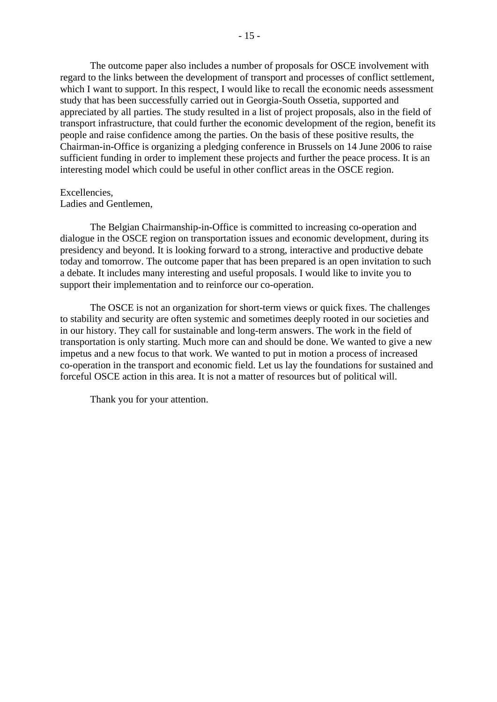The outcome paper also includes a number of proposals for OSCE involvement with regard to the links between the development of transport and processes of conflict settlement, which I want to support. In this respect, I would like to recall the economic needs assessment study that has been successfully carried out in Georgia-South Ossetia, supported and appreciated by all parties. The study resulted in a list of project proposals, also in the field of transport infrastructure, that could further the economic development of the region, benefit its people and raise confidence among the parties. On the basis of these positive results, the Chairman-in-Office is organizing a pledging conference in Brussels on 14 June 2006 to raise sufficient funding in order to implement these projects and further the peace process. It is an interesting model which could be useful in other conflict areas in the OSCE region.

#### Excellencies,

Ladies and Gentlemen,

 The Belgian Chairmanship-in-Office is committed to increasing co-operation and dialogue in the OSCE region on transportation issues and economic development, during its presidency and beyond. It is looking forward to a strong, interactive and productive debate today and tomorrow. The outcome paper that has been prepared is an open invitation to such a debate. It includes many interesting and useful proposals. I would like to invite you to support their implementation and to reinforce our co-operation.

 The OSCE is not an organization for short-term views or quick fixes. The challenges to stability and security are often systemic and sometimes deeply rooted in our societies and in our history. They call for sustainable and long-term answers. The work in the field of transportation is only starting. Much more can and should be done. We wanted to give a new impetus and a new focus to that work. We wanted to put in motion a process of increased co-operation in the transport and economic field. Let us lay the foundations for sustained and forceful OSCE action in this area. It is not a matter of resources but of political will.

Thank you for your attention.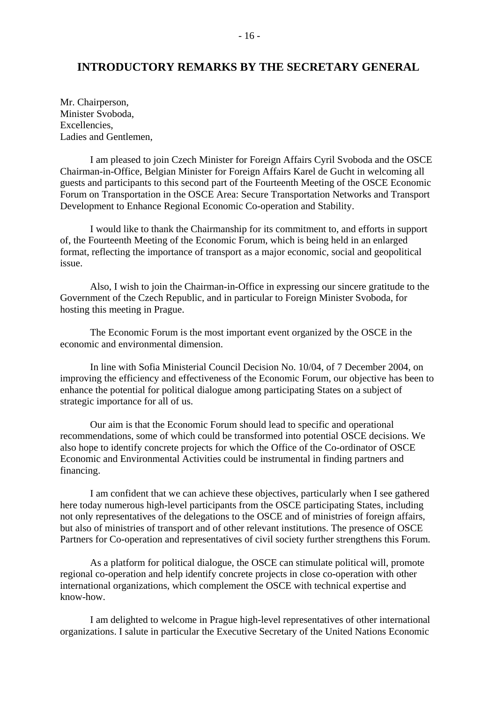### **INTRODUCTORY REMARKS BY THE SECRETARY GENERAL**

Mr. Chairperson, Minister Svoboda, Excellencies, Ladies and Gentlemen,

 I am pleased to join Czech Minister for Foreign Affairs Cyril Svoboda and the OSCE Chairman-in-Office, Belgian Minister for Foreign Affairs Karel de Gucht in welcoming all guests and participants to this second part of the Fourteenth Meeting of the OSCE Economic Forum on Transportation in the OSCE Area: Secure Transportation Networks and Transport Development to Enhance Regional Economic Co-operation and Stability.

 I would like to thank the Chairmanship for its commitment to, and efforts in support of, the Fourteenth Meeting of the Economic Forum, which is being held in an enlarged format, reflecting the importance of transport as a major economic, social and geopolitical issue.

 Also, I wish to join the Chairman-in-Office in expressing our sincere gratitude to the Government of the Czech Republic, and in particular to Foreign Minister Svoboda, for hosting this meeting in Prague.

 The Economic Forum is the most important event organized by the OSCE in the economic and environmental dimension.

 In line with Sofia Ministerial Council Decision No. 10/04, of 7 December 2004, on improving the efficiency and effectiveness of the Economic Forum, our objective has been to enhance the potential for political dialogue among participating States on a subject of strategic importance for all of us.

 Our aim is that the Economic Forum should lead to specific and operational recommendations, some of which could be transformed into potential OSCE decisions. We also hope to identify concrete projects for which the Office of the Co-ordinator of OSCE Economic and Environmental Activities could be instrumental in finding partners and financing.

 I am confident that we can achieve these objectives, particularly when I see gathered here today numerous high-level participants from the OSCE participating States, including not only representatives of the delegations to the OSCE and of ministries of foreign affairs, but also of ministries of transport and of other relevant institutions. The presence of OSCE Partners for Co-operation and representatives of civil society further strengthens this Forum.

 As a platform for political dialogue, the OSCE can stimulate political will, promote regional co-operation and help identify concrete projects in close co-operation with other international organizations, which complement the OSCE with technical expertise and know-how.

 I am delighted to welcome in Prague high-level representatives of other international organizations. I salute in particular the Executive Secretary of the United Nations Economic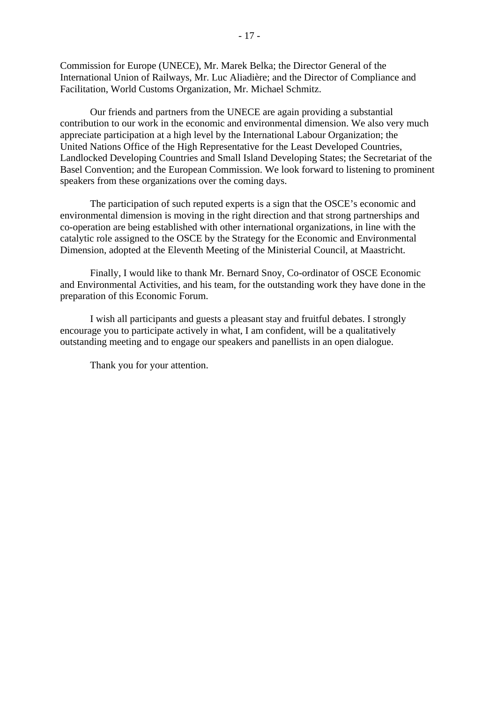Commission for Europe (UNECE), Mr. Marek Belka; the Director General of the International Union of Railways, Mr. Luc Aliadière; and the Director of Compliance and Facilitation, World Customs Organization, Mr. Michael Schmitz.

 Our friends and partners from the UNECE are again providing a substantial contribution to our work in the economic and environmental dimension. We also very much appreciate participation at a high level by the International Labour Organization; the United Nations Office of the High Representative for the Least Developed Countries, Landlocked Developing Countries and Small Island Developing States; the Secretariat of the Basel Convention; and the European Commission. We look forward to listening to prominent speakers from these organizations over the coming days.

 The participation of such reputed experts is a sign that the OSCE's economic and environmental dimension is moving in the right direction and that strong partnerships and co-operation are being established with other international organizations, in line with the catalytic role assigned to the OSCE by the Strategy for the Economic and Environmental Dimension, adopted at the Eleventh Meeting of the Ministerial Council, at Maastricht.

 Finally, I would like to thank Mr. Bernard Snoy, Co-ordinator of OSCE Economic and Environmental Activities, and his team, for the outstanding work they have done in the preparation of this Economic Forum.

 I wish all participants and guests a pleasant stay and fruitful debates. I strongly encourage you to participate actively in what, I am confident, will be a qualitatively outstanding meeting and to engage our speakers and panellists in an open dialogue.

Thank you for your attention.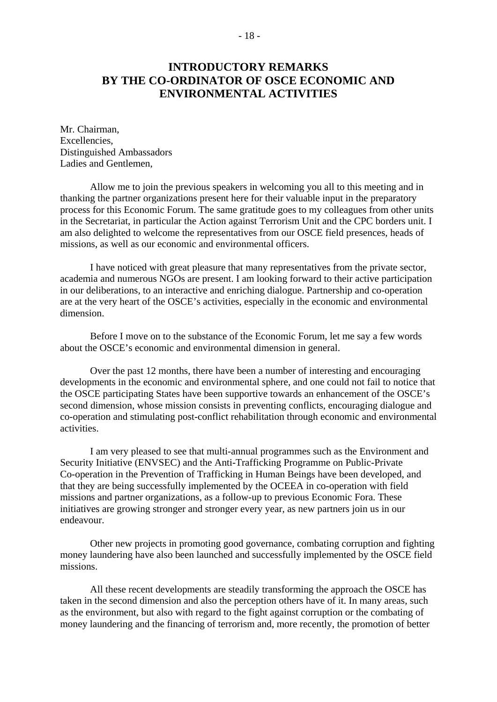# **INTRODUCTORY REMARKS BY THE CO-ORDINATOR OF OSCE ECONOMIC AND ENVIRONMENTAL ACTIVITIES**

Mr. Chairman, Excellencies, Distinguished Ambassadors Ladies and Gentlemen,

 Allow me to join the previous speakers in welcoming you all to this meeting and in thanking the partner organizations present here for their valuable input in the preparatory process for this Economic Forum. The same gratitude goes to my colleagues from other units in the Secretariat, in particular the Action against Terrorism Unit and the CPC borders unit. I am also delighted to welcome the representatives from our OSCE field presences, heads of missions, as well as our economic and environmental officers.

 I have noticed with great pleasure that many representatives from the private sector, academia and numerous NGOs are present. I am looking forward to their active participation in our deliberations, to an interactive and enriching dialogue. Partnership and co-operation are at the very heart of the OSCE's activities, especially in the economic and environmental dimension.

 Before I move on to the substance of the Economic Forum, let me say a few words about the OSCE's economic and environmental dimension in general.

 Over the past 12 months, there have been a number of interesting and encouraging developments in the economic and environmental sphere, and one could not fail to notice that the OSCE participating States have been supportive towards an enhancement of the OSCE's second dimension, whose mission consists in preventing conflicts, encouraging dialogue and co-operation and stimulating post-conflict rehabilitation through economic and environmental activities.

 I am very pleased to see that multi-annual programmes such as the Environment and Security Initiative (ENVSEC) and the Anti-Trafficking Programme on Public-Private Co-operation in the Prevention of Trafficking in Human Beings have been developed, and that they are being successfully implemented by the OCEEA in co-operation with field missions and partner organizations, as a follow-up to previous Economic Fora. These initiatives are growing stronger and stronger every year, as new partners join us in our endeavour.

 Other new projects in promoting good governance, combating corruption and fighting money laundering have also been launched and successfully implemented by the OSCE field missions.

 All these recent developments are steadily transforming the approach the OSCE has taken in the second dimension and also the perception others have of it. In many areas, such as the environment, but also with regard to the fight against corruption or the combating of money laundering and the financing of terrorism and, more recently, the promotion of better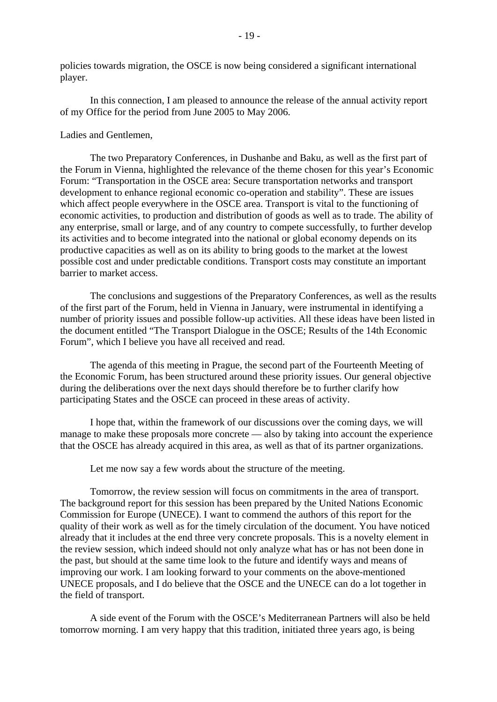policies towards migration, the OSCE is now being considered a significant international player.

 In this connection, I am pleased to announce the release of the annual activity report of my Office for the period from June 2005 to May 2006.

Ladies and Gentlemen,

 The two Preparatory Conferences, in Dushanbe and Baku, as well as the first part of the Forum in Vienna, highlighted the relevance of the theme chosen for this year's Economic Forum: "Transportation in the OSCE area: Secure transportation networks and transport development to enhance regional economic co-operation and stability". These are issues which affect people everywhere in the OSCE area. Transport is vital to the functioning of economic activities, to production and distribution of goods as well as to trade. The ability of any enterprise, small or large, and of any country to compete successfully, to further develop its activities and to become integrated into the national or global economy depends on its productive capacities as well as on its ability to bring goods to the market at the lowest possible cost and under predictable conditions. Transport costs may constitute an important barrier to market access.

 The conclusions and suggestions of the Preparatory Conferences, as well as the results of the first part of the Forum, held in Vienna in January, were instrumental in identifying a number of priority issues and possible follow-up activities. All these ideas have been listed in the document entitled "The Transport Dialogue in the OSCE; Results of the 14th Economic Forum", which I believe you have all received and read.

 The agenda of this meeting in Prague, the second part of the Fourteenth Meeting of the Economic Forum, has been structured around these priority issues. Our general objective during the deliberations over the next days should therefore be to further clarify how participating States and the OSCE can proceed in these areas of activity.

 I hope that, within the framework of our discussions over the coming days, we will manage to make these proposals more concrete — also by taking into account the experience that the OSCE has already acquired in this area, as well as that of its partner organizations.

Let me now say a few words about the structure of the meeting.

 Tomorrow, the review session will focus on commitments in the area of transport. The background report for this session has been prepared by the United Nations Economic Commission for Europe (UNECE). I want to commend the authors of this report for the quality of their work as well as for the timely circulation of the document. You have noticed already that it includes at the end three very concrete proposals. This is a novelty element in the review session, which indeed should not only analyze what has or has not been done in the past, but should at the same time look to the future and identify ways and means of improving our work. I am looking forward to your comments on the above-mentioned UNECE proposals, and I do believe that the OSCE and the UNECE can do a lot together in the field of transport.

 A side event of the Forum with the OSCE's Mediterranean Partners will also be held tomorrow morning. I am very happy that this tradition, initiated three years ago, is being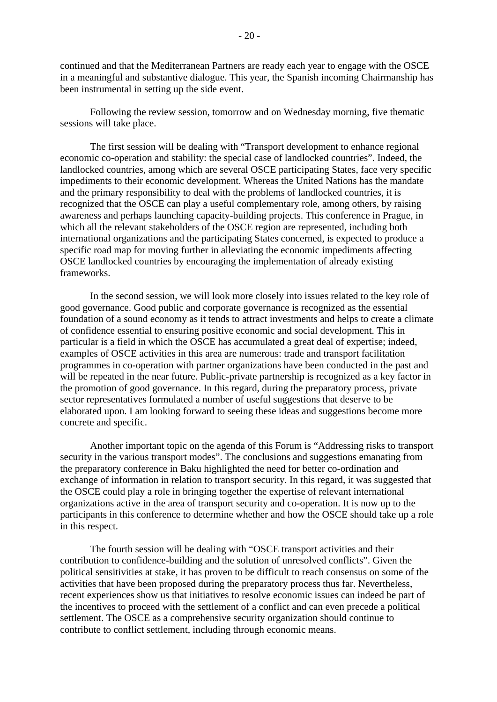continued and that the Mediterranean Partners are ready each year to engage with the OSCE in a meaningful and substantive dialogue. This year, the Spanish incoming Chairmanship has been instrumental in setting up the side event.

 Following the review session, tomorrow and on Wednesday morning, five thematic sessions will take place.

 The first session will be dealing with "Transport development to enhance regional economic co-operation and stability: the special case of landlocked countries". Indeed, the landlocked countries, among which are several OSCE participating States, face very specific impediments to their economic development. Whereas the United Nations has the mandate and the primary responsibility to deal with the problems of landlocked countries, it is recognized that the OSCE can play a useful complementary role, among others, by raising awareness and perhaps launching capacity-building projects. This conference in Prague, in which all the relevant stakeholders of the OSCE region are represented, including both international organizations and the participating States concerned, is expected to produce a specific road map for moving further in alleviating the economic impediments affecting OSCE landlocked countries by encouraging the implementation of already existing frameworks.

 In the second session, we will look more closely into issues related to the key role of good governance. Good public and corporate governance is recognized as the essential foundation of a sound economy as it tends to attract investments and helps to create a climate of confidence essential to ensuring positive economic and social development. This in particular is a field in which the OSCE has accumulated a great deal of expertise; indeed, examples of OSCE activities in this area are numerous: trade and transport facilitation programmes in co-operation with partner organizations have been conducted in the past and will be repeated in the near future. Public-private partnership is recognized as a key factor in the promotion of good governance. In this regard, during the preparatory process, private sector representatives formulated a number of useful suggestions that deserve to be elaborated upon. I am looking forward to seeing these ideas and suggestions become more concrete and specific.

 Another important topic on the agenda of this Forum is "Addressing risks to transport security in the various transport modes". The conclusions and suggestions emanating from the preparatory conference in Baku highlighted the need for better co-ordination and exchange of information in relation to transport security. In this regard, it was suggested that the OSCE could play a role in bringing together the expertise of relevant international organizations active in the area of transport security and co-operation. It is now up to the participants in this conference to determine whether and how the OSCE should take up a role in this respect.

 The fourth session will be dealing with "OSCE transport activities and their contribution to confidence-building and the solution of unresolved conflicts". Given the political sensitivities at stake, it has proven to be difficult to reach consensus on some of the activities that have been proposed during the preparatory process thus far. Nevertheless, recent experiences show us that initiatives to resolve economic issues can indeed be part of the incentives to proceed with the settlement of a conflict and can even precede a political settlement. The OSCE as a comprehensive security organization should continue to contribute to conflict settlement, including through economic means.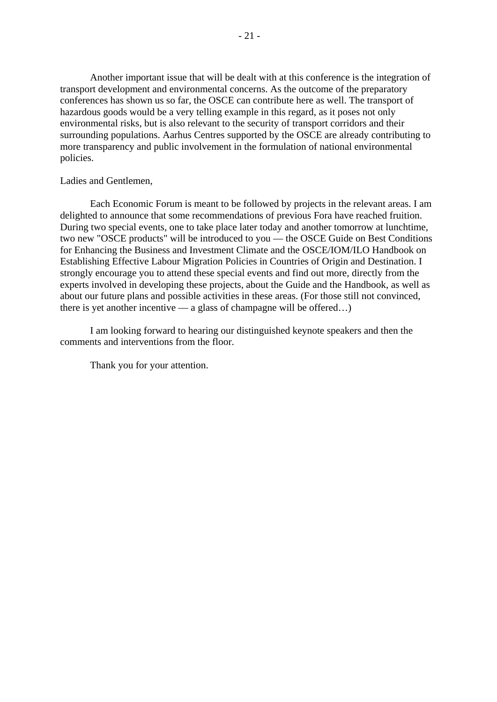Another important issue that will be dealt with at this conference is the integration of transport development and environmental concerns. As the outcome of the preparatory conferences has shown us so far, the OSCE can contribute here as well. The transport of hazardous goods would be a very telling example in this regard, as it poses not only environmental risks, but is also relevant to the security of transport corridors and their surrounding populations. Aarhus Centres supported by the OSCE are already contributing to more transparency and public involvement in the formulation of national environmental policies.

#### Ladies and Gentlemen,

 Each Economic Forum is meant to be followed by projects in the relevant areas. I am delighted to announce that some recommendations of previous Fora have reached fruition. During two special events, one to take place later today and another tomorrow at lunchtime, two new "OSCE products" will be introduced to you — the OSCE Guide on Best Conditions for Enhancing the Business and Investment Climate and the OSCE/IOM/ILO Handbook on Establishing Effective Labour Migration Policies in Countries of Origin and Destination. I strongly encourage you to attend these special events and find out more, directly from the experts involved in developing these projects, about the Guide and the Handbook, as well as about our future plans and possible activities in these areas. (For those still not convinced, there is yet another incentive — a glass of champagne will be offered...)

 I am looking forward to hearing our distinguished keynote speakers and then the comments and interventions from the floor.

Thank you for your attention.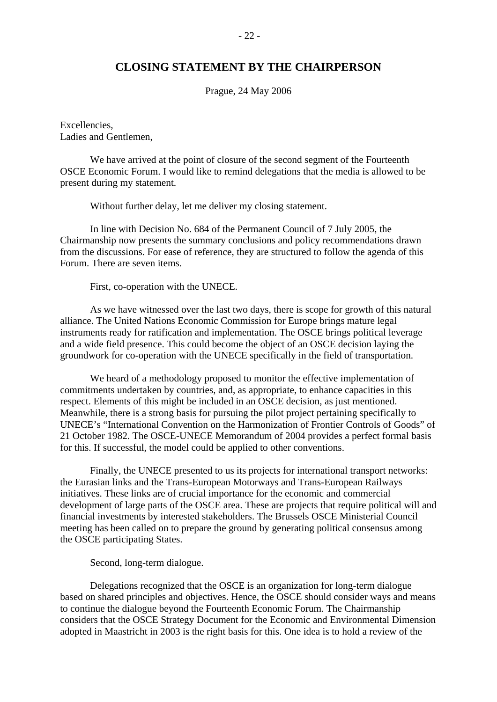### **CLOSING STATEMENT BY THE CHAIRPERSON**

Prague, 24 May 2006

Excellencies, Ladies and Gentlemen,

 We have arrived at the point of closure of the second segment of the Fourteenth OSCE Economic Forum. I would like to remind delegations that the media is allowed to be present during my statement.

Without further delay, let me deliver my closing statement.

 In line with Decision No. 684 of the Permanent Council of 7 July 2005, the Chairmanship now presents the summary conclusions and policy recommendations drawn from the discussions. For ease of reference, they are structured to follow the agenda of this Forum. There are seven items.

First, co-operation with the UNECE.

 As we have witnessed over the last two days, there is scope for growth of this natural alliance. The United Nations Economic Commission for Europe brings mature legal instruments ready for ratification and implementation. The OSCE brings political leverage and a wide field presence. This could become the object of an OSCE decision laying the groundwork for co-operation with the UNECE specifically in the field of transportation.

 We heard of a methodology proposed to monitor the effective implementation of commitments undertaken by countries, and, as appropriate, to enhance capacities in this respect. Elements of this might be included in an OSCE decision, as just mentioned. Meanwhile, there is a strong basis for pursuing the pilot project pertaining specifically to UNECE's "International Convention on the Harmonization of Frontier Controls of Goods" of 21 October 1982. The OSCE-UNECE Memorandum of 2004 provides a perfect formal basis for this. If successful, the model could be applied to other conventions.

 Finally, the UNECE presented to us its projects for international transport networks: the Eurasian links and the Trans-European Motorways and Trans-European Railways initiatives. These links are of crucial importance for the economic and commercial development of large parts of the OSCE area. These are projects that require political will and financial investments by interested stakeholders. The Brussels OSCE Ministerial Council meeting has been called on to prepare the ground by generating political consensus among the OSCE participating States.

Second, long-term dialogue.

 Delegations recognized that the OSCE is an organization for long-term dialogue based on shared principles and objectives. Hence, the OSCE should consider ways and means to continue the dialogue beyond the Fourteenth Economic Forum. The Chairmanship considers that the OSCE Strategy Document for the Economic and Environmental Dimension adopted in Maastricht in 2003 is the right basis for this. One idea is to hold a review of the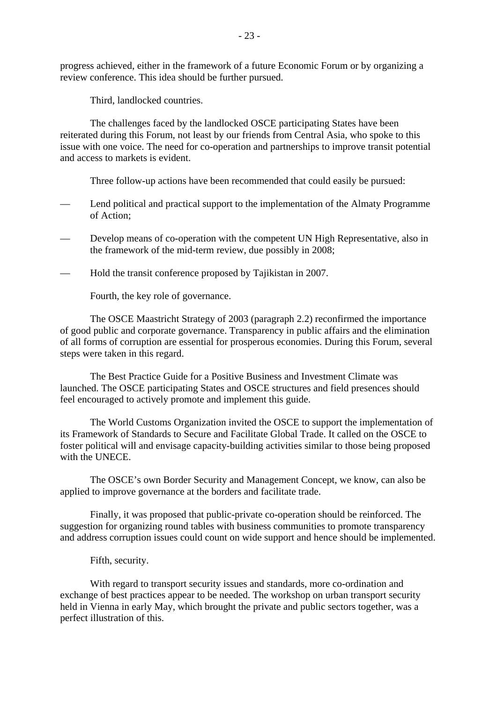progress achieved, either in the framework of a future Economic Forum or by organizing a review conference. This idea should be further pursued.

Third, landlocked countries.

 The challenges faced by the landlocked OSCE participating States have been reiterated during this Forum, not least by our friends from Central Asia, who spoke to this issue with one voice. The need for co-operation and partnerships to improve transit potential and access to markets is evident.

Three follow-up actions have been recommended that could easily be pursued:

- Lend political and practical support to the implementation of the Almaty Programme of Action;
- Develop means of co-operation with the competent UN High Representative, also in the framework of the mid-term review, due possibly in 2008;
- Hold the transit conference proposed by Tajikistan in 2007.

Fourth, the key role of governance.

 The OSCE Maastricht Strategy of 2003 (paragraph 2.2) reconfirmed the importance of good public and corporate governance. Transparency in public affairs and the elimination of all forms of corruption are essential for prosperous economies. During this Forum, several steps were taken in this regard.

 The Best Practice Guide for a Positive Business and Investment Climate was launched. The OSCE participating States and OSCE structures and field presences should feel encouraged to actively promote and implement this guide.

 The World Customs Organization invited the OSCE to support the implementation of its Framework of Standards to Secure and Facilitate Global Trade. It called on the OSCE to foster political will and envisage capacity-building activities similar to those being proposed with the UNECE.

 The OSCE's own Border Security and Management Concept, we know, can also be applied to improve governance at the borders and facilitate trade.

 Finally, it was proposed that public-private co-operation should be reinforced. The suggestion for organizing round tables with business communities to promote transparency and address corruption issues could count on wide support and hence should be implemented.

Fifth, security.

 With regard to transport security issues and standards, more co-ordination and exchange of best practices appear to be needed. The workshop on urban transport security held in Vienna in early May, which brought the private and public sectors together, was a perfect illustration of this.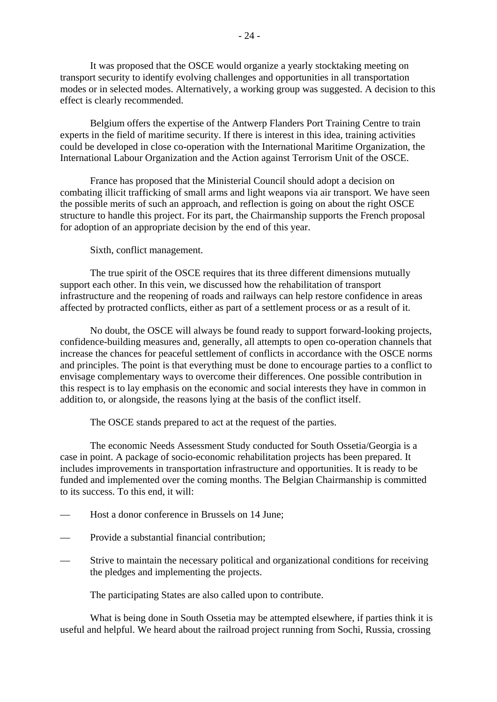It was proposed that the OSCE would organize a yearly stocktaking meeting on transport security to identify evolving challenges and opportunities in all transportation modes or in selected modes. Alternatively, a working group was suggested. A decision to this effect is clearly recommended.

 Belgium offers the expertise of the Antwerp Flanders Port Training Centre to train experts in the field of maritime security. If there is interest in this idea, training activities could be developed in close co-operation with the International Maritime Organization, the International Labour Organization and the Action against Terrorism Unit of the OSCE.

 France has proposed that the Ministerial Council should adopt a decision on combating illicit trafficking of small arms and light weapons via air transport. We have seen the possible merits of such an approach, and reflection is going on about the right OSCE structure to handle this project. For its part, the Chairmanship supports the French proposal for adoption of an appropriate decision by the end of this year.

Sixth, conflict management.

 The true spirit of the OSCE requires that its three different dimensions mutually support each other. In this vein, we discussed how the rehabilitation of transport infrastructure and the reopening of roads and railways can help restore confidence in areas affected by protracted conflicts, either as part of a settlement process or as a result of it.

 No doubt, the OSCE will always be found ready to support forward-looking projects, confidence-building measures and, generally, all attempts to open co-operation channels that increase the chances for peaceful settlement of conflicts in accordance with the OSCE norms and principles. The point is that everything must be done to encourage parties to a conflict to envisage complementary ways to overcome their differences. One possible contribution in this respect is to lay emphasis on the economic and social interests they have in common in addition to, or alongside, the reasons lying at the basis of the conflict itself.

The OSCE stands prepared to act at the request of the parties.

 The economic Needs Assessment Study conducted for South Ossetia/Georgia is a case in point. A package of socio-economic rehabilitation projects has been prepared. It includes improvements in transportation infrastructure and opportunities. It is ready to be funded and implemented over the coming months. The Belgian Chairmanship is committed to its success. To this end, it will:

- Host a donor conference in Brussels on 14 June;
- Provide a substantial financial contribution;
- Strive to maintain the necessary political and organizational conditions for receiving the pledges and implementing the projects.

The participating States are also called upon to contribute.

 What is being done in South Ossetia may be attempted elsewhere, if parties think it is useful and helpful. We heard about the railroad project running from Sochi, Russia, crossing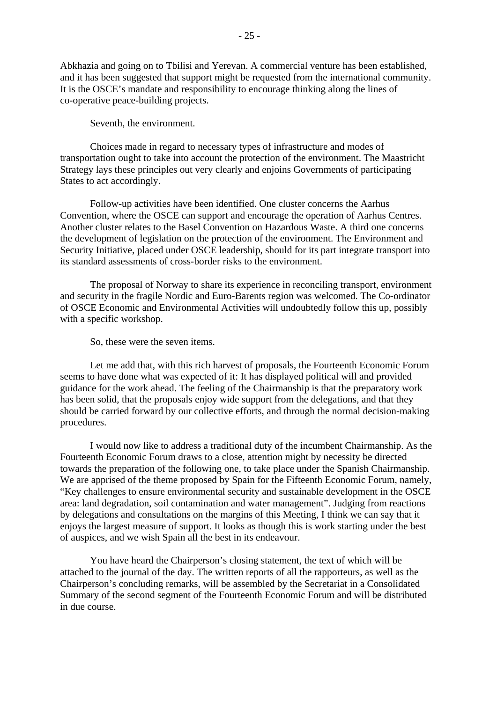Abkhazia and going on to Tbilisi and Yerevan. A commercial venture has been established, and it has been suggested that support might be requested from the international community. It is the OSCE's mandate and responsibility to encourage thinking along the lines of co-operative peace-building projects.

Seventh, the environment.

 Choices made in regard to necessary types of infrastructure and modes of transportation ought to take into account the protection of the environment. The Maastricht Strategy lays these principles out very clearly and enjoins Governments of participating States to act accordingly.

 Follow-up activities have been identified. One cluster concerns the Aarhus Convention, where the OSCE can support and encourage the operation of Aarhus Centres. Another cluster relates to the Basel Convention on Hazardous Waste. A third one concerns the development of legislation on the protection of the environment. The Environment and Security Initiative, placed under OSCE leadership, should for its part integrate transport into its standard assessments of cross-border risks to the environment.

 The proposal of Norway to share its experience in reconciling transport, environment and security in the fragile Nordic and Euro-Barents region was welcomed. The Co-ordinator of OSCE Economic and Environmental Activities will undoubtedly follow this up, possibly with a specific workshop.

So, these were the seven items.

 Let me add that, with this rich harvest of proposals, the Fourteenth Economic Forum seems to have done what was expected of it: It has displayed political will and provided guidance for the work ahead. The feeling of the Chairmanship is that the preparatory work has been solid, that the proposals enjoy wide support from the delegations, and that they should be carried forward by our collective efforts, and through the normal decision-making procedures.

 I would now like to address a traditional duty of the incumbent Chairmanship. As the Fourteenth Economic Forum draws to a close, attention might by necessity be directed towards the preparation of the following one, to take place under the Spanish Chairmanship. We are apprised of the theme proposed by Spain for the Fifteenth Economic Forum, namely, "Key challenges to ensure environmental security and sustainable development in the OSCE area: land degradation, soil contamination and water management". Judging from reactions by delegations and consultations on the margins of this Meeting, I think we can say that it enjoys the largest measure of support. It looks as though this is work starting under the best of auspices, and we wish Spain all the best in its endeavour.

 You have heard the Chairperson's closing statement, the text of which will be attached to the journal of the day. The written reports of all the rapporteurs, as well as the Chairperson's concluding remarks, will be assembled by the Secretariat in a Consolidated Summary of the second segment of the Fourteenth Economic Forum and will be distributed in due course.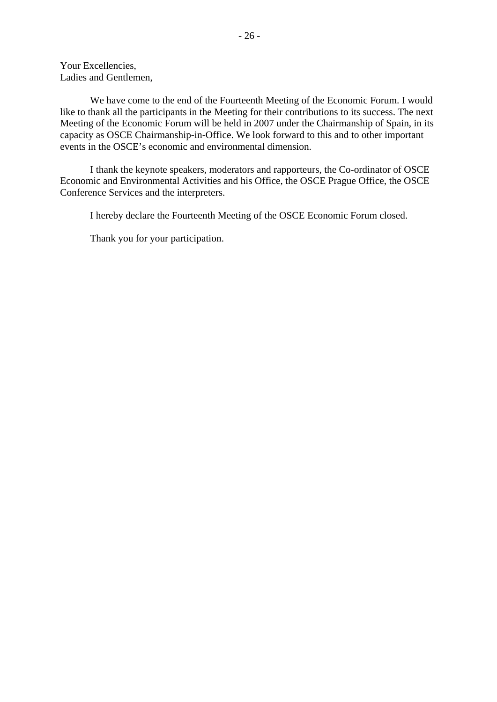Your Excellencies, Ladies and Gentlemen,

 We have come to the end of the Fourteenth Meeting of the Economic Forum. I would like to thank all the participants in the Meeting for their contributions to its success. The next Meeting of the Economic Forum will be held in 2007 under the Chairmanship of Spain, in its capacity as OSCE Chairmanship-in-Office. We look forward to this and to other important events in the OSCE's economic and environmental dimension.

 I thank the keynote speakers, moderators and rapporteurs, the Co-ordinator of OSCE Economic and Environmental Activities and his Office, the OSCE Prague Office, the OSCE Conference Services and the interpreters.

I hereby declare the Fourteenth Meeting of the OSCE Economic Forum closed.

Thank you for your participation.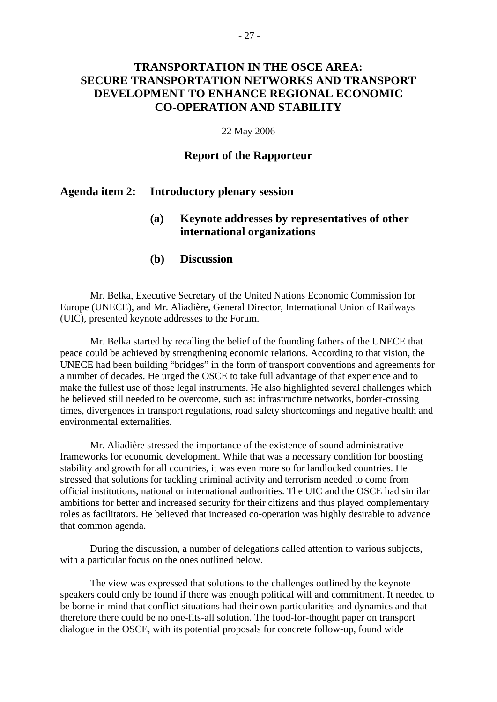# **TRANSPORTATION IN THE OSCE AREA: SECURE TRANSPORTATION NETWORKS AND TRANSPORT DEVELOPMENT TO ENHANCE REGIONAL ECONOMIC CO-OPERATION AND STABILITY**

#### 22 May 2006

### **Report of the Rapporteur**

### **Agenda item 2: Introductory plenary session**

### **(a) Keynote addresses by representatives of other international organizations**

**(b) Discussion** 

 Mr. Belka, Executive Secretary of the United Nations Economic Commission for Europe (UNECE), and Mr. Aliadière, General Director, International Union of Railways (UIC), presented keynote addresses to the Forum.

 Mr. Belka started by recalling the belief of the founding fathers of the UNECE that peace could be achieved by strengthening economic relations. According to that vision, the UNECE had been building "bridges" in the form of transport conventions and agreements for a number of decades. He urged the OSCE to take full advantage of that experience and to make the fullest use of those legal instruments. He also highlighted several challenges which he believed still needed to be overcome, such as: infrastructure networks, border-crossing times, divergences in transport regulations, road safety shortcomings and negative health and environmental externalities.

 Mr. Aliadière stressed the importance of the existence of sound administrative frameworks for economic development. While that was a necessary condition for boosting stability and growth for all countries, it was even more so for landlocked countries. He stressed that solutions for tackling criminal activity and terrorism needed to come from official institutions, national or international authorities. The UIC and the OSCE had similar ambitions for better and increased security for their citizens and thus played complementary roles as facilitators. He believed that increased co-operation was highly desirable to advance that common agenda.

 During the discussion, a number of delegations called attention to various subjects, with a particular focus on the ones outlined below.

 The view was expressed that solutions to the challenges outlined by the keynote speakers could only be found if there was enough political will and commitment. It needed to be borne in mind that conflict situations had their own particularities and dynamics and that therefore there could be no one-fits-all solution. The food-for-thought paper on transport dialogue in the OSCE, with its potential proposals for concrete follow-up, found wide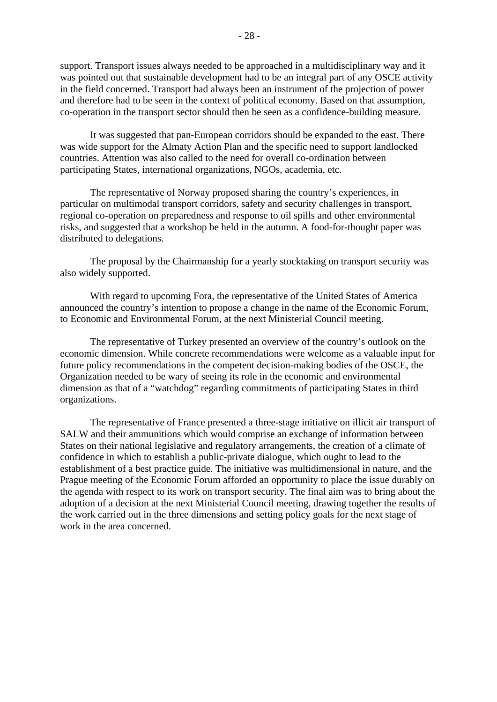support. Transport issues always needed to be approached in a multidisciplinary way and it was pointed out that sustainable development had to be an integral part of any OSCE activity in the field concerned. Transport had always been an instrument of the projection of power and therefore had to be seen in the context of political economy. Based on that assumption, co-operation in the transport sector should then be seen as a confidence-building measure.

 It was suggested that pan-European corridors should be expanded to the east. There was wide support for the Almaty Action Plan and the specific need to support landlocked countries. Attention was also called to the need for overall co-ordination between participating States, international organizations, NGOs, academia, etc.

 The representative of Norway proposed sharing the country's experiences, in particular on multimodal transport corridors, safety and security challenges in transport, regional co-operation on preparedness and response to oil spills and other environmental risks, and suggested that a workshop be held in the autumn. A food-for-thought paper was distributed to delegations.

 The proposal by the Chairmanship for a yearly stocktaking on transport security was also widely supported.

 With regard to upcoming Fora, the representative of the United States of America announced the country's intention to propose a change in the name of the Economic Forum, to Economic and Environmental Forum, at the next Ministerial Council meeting.

The representative of Turkey presented an overview of the country's outlook on the economic dimension. While concrete recommendations were welcome as a valuable input for future policy recommendations in the competent decision-making bodies of the OSCE, the Organization needed to be wary of seeing its role in the economic and environmental dimension as that of a "watchdog" regarding commitments of participating States in third organizations.

 The representative of France presented a three-stage initiative on illicit air transport of SALW and their ammunitions which would comprise an exchange of information between States on their national legislative and regulatory arrangements, the creation of a climate of confidence in which to establish a public-private dialogue, which ought to lead to the establishment of a best practice guide. The initiative was multidimensional in nature, and the Prague meeting of the Economic Forum afforded an opportunity to place the issue durably on the agenda with respect to its work on transport security. The final aim was to bring about the adoption of a decision at the next Ministerial Council meeting, drawing together the results of the work carried out in the three dimensions and setting policy goals for the next stage of work in the area concerned.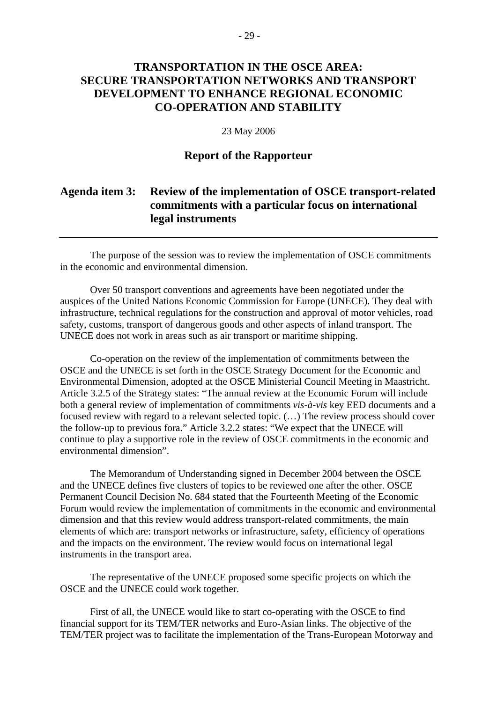# **TRANSPORTATION IN THE OSCE AREA: SECURE TRANSPORTATION NETWORKS AND TRANSPORT DEVELOPMENT TO ENHANCE REGIONAL ECONOMIC CO-OPERATION AND STABILITY**

#### 23 May 2006

### **Report of the Rapporteur**

# **Agenda item 3: Review of the implementation of OSCE transport-related commitments with a particular focus on international legal instruments**

 The purpose of the session was to review the implementation of OSCE commitments in the economic and environmental dimension.

 Over 50 transport conventions and agreements have been negotiated under the auspices of the United Nations Economic Commission for Europe (UNECE). They deal with infrastructure, technical regulations for the construction and approval of motor vehicles, road safety, customs, transport of dangerous goods and other aspects of inland transport. The UNECE does not work in areas such as air transport or maritime shipping.

 Co-operation on the review of the implementation of commitments between the OSCE and the UNECE is set forth in the OSCE Strategy Document for the Economic and Environmental Dimension, adopted at the OSCE Ministerial Council Meeting in Maastricht. Article 3.2.5 of the Strategy states: "The annual review at the Economic Forum will include both a general review of implementation of commitments *vis-à-vis* key EED documents and a focused review with regard to a relevant selected topic. (…) The review process should cover the follow-up to previous fora." Article 3.2.2 states: "We expect that the UNECE will continue to play a supportive role in the review of OSCE commitments in the economic and environmental dimension".

 The Memorandum of Understanding signed in December 2004 between the OSCE and the UNECE defines five clusters of topics to be reviewed one after the other. OSCE Permanent Council Decision No. 684 stated that the Fourteenth Meeting of the Economic Forum would review the implementation of commitments in the economic and environmental dimension and that this review would address transport-related commitments, the main elements of which are: transport networks or infrastructure, safety, efficiency of operations and the impacts on the environment. The review would focus on international legal instruments in the transport area.

 The representative of the UNECE proposed some specific projects on which the OSCE and the UNECE could work together.

 First of all, the UNECE would like to start co-operating with the OSCE to find financial support for its TEM/TER networks and Euro-Asian links. The objective of the TEM/TER project was to facilitate the implementation of the Trans-European Motorway and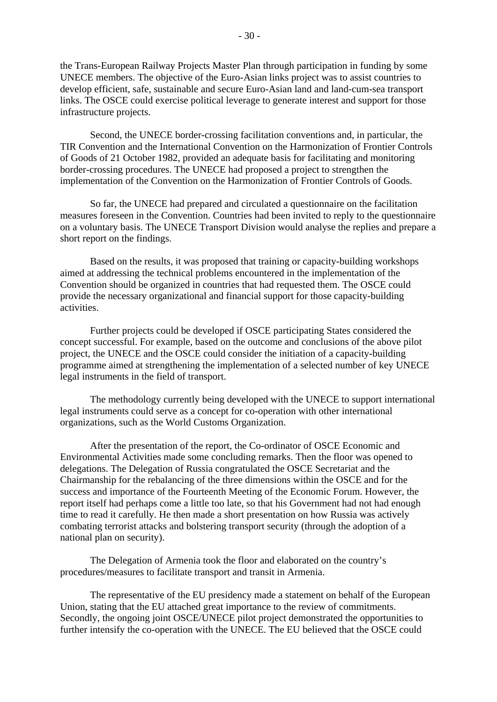the Trans-European Railway Projects Master Plan through participation in funding by some UNECE members. The objective of the Euro-Asian links project was to assist countries to develop efficient, safe, sustainable and secure Euro-Asian land and land-cum-sea transport links. The OSCE could exercise political leverage to generate interest and support for those infrastructure projects.

 Second, the UNECE border-crossing facilitation conventions and, in particular, the TIR Convention and the International Convention on the Harmonization of Frontier Controls of Goods of 21 October 1982, provided an adequate basis for facilitating and monitoring border-crossing procedures. The UNECE had proposed a project to strengthen the implementation of the Convention on the Harmonization of Frontier Controls of Goods.

 So far, the UNECE had prepared and circulated a questionnaire on the facilitation measures foreseen in the Convention. Countries had been invited to reply to the questionnaire on a voluntary basis. The UNECE Transport Division would analyse the replies and prepare a short report on the findings.

 Based on the results, it was proposed that training or capacity-building workshops aimed at addressing the technical problems encountered in the implementation of the Convention should be organized in countries that had requested them. The OSCE could provide the necessary organizational and financial support for those capacity-building activities.

 Further projects could be developed if OSCE participating States considered the concept successful. For example, based on the outcome and conclusions of the above pilot project, the UNECE and the OSCE could consider the initiation of a capacity-building programme aimed at strengthening the implementation of a selected number of key UNECE legal instruments in the field of transport.

 The methodology currently being developed with the UNECE to support international legal instruments could serve as a concept for co-operation with other international organizations, such as the World Customs Organization.

 After the presentation of the report, the Co-ordinator of OSCE Economic and Environmental Activities made some concluding remarks. Then the floor was opened to delegations. The Delegation of Russia congratulated the OSCE Secretariat and the Chairmanship for the rebalancing of the three dimensions within the OSCE and for the success and importance of the Fourteenth Meeting of the Economic Forum. However, the report itself had perhaps come a little too late, so that his Government had not had enough time to read it carefully. He then made a short presentation on how Russia was actively combating terrorist attacks and bolstering transport security (through the adoption of a national plan on security).

 The Delegation of Armenia took the floor and elaborated on the country's procedures/measures to facilitate transport and transit in Armenia.

 The representative of the EU presidency made a statement on behalf of the European Union, stating that the EU attached great importance to the review of commitments. Secondly, the ongoing joint OSCE/UNECE pilot project demonstrated the opportunities to further intensify the co-operation with the UNECE. The EU believed that the OSCE could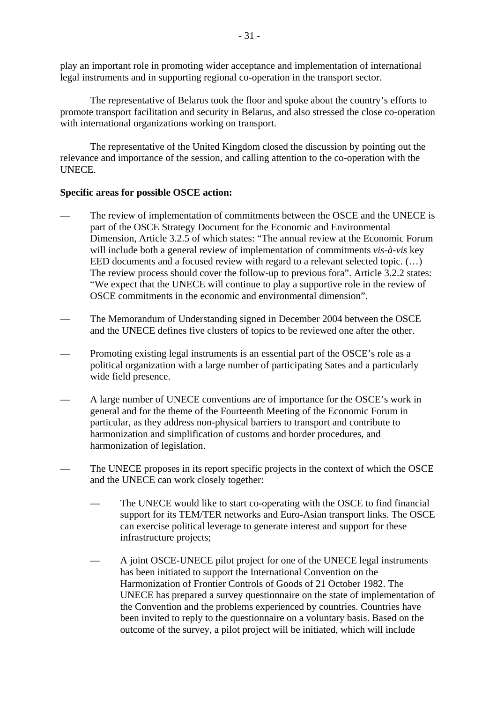play an important role in promoting wider acceptance and implementation of international legal instruments and in supporting regional co-operation in the transport sector.

 The representative of Belarus took the floor and spoke about the country's efforts to promote transport facilitation and security in Belarus, and also stressed the close co-operation with international organizations working on transport.

 The representative of the United Kingdom closed the discussion by pointing out the relevance and importance of the session, and calling attention to the co-operation with the UNECE.

### **Specific areas for possible OSCE action:**

- The review of implementation of commitments between the OSCE and the UNECE is part of the OSCE Strategy Document for the Economic and Environmental Dimension, Article 3.2.5 of which states: "The annual review at the Economic Forum will include both a general review of implementation of commitments *vis-à-vis* key EED documents and a focused review with regard to a relevant selected topic. (...) The review process should cover the follow-up to previous fora". Article 3.2.2 states: "We expect that the UNECE will continue to play a supportive role in the review of OSCE commitments in the economic and environmental dimension".
- The Memorandum of Understanding signed in December 2004 between the OSCE and the UNECE defines five clusters of topics to be reviewed one after the other.
- Promoting existing legal instruments is an essential part of the OSCE's role as a political organization with a large number of participating Sates and a particularly wide field presence.
- A large number of UNECE conventions are of importance for the OSCE's work in general and for the theme of the Fourteenth Meeting of the Economic Forum in particular, as they address non-physical barriers to transport and contribute to harmonization and simplification of customs and border procedures, and harmonization of legislation.
- The UNECE proposes in its report specific projects in the context of which the OSCE and the UNECE can work closely together:
	- The UNECE would like to start co-operating with the OSCE to find financial support for its TEM/TER networks and Euro-Asian transport links. The OSCE can exercise political leverage to generate interest and support for these infrastructure projects;
	- A joint OSCE-UNECE pilot project for one of the UNECE legal instruments has been initiated to support the International Convention on the Harmonization of Frontier Controls of Goods of 21 October 1982. The UNECE has prepared a survey questionnaire on the state of implementation of the Convention and the problems experienced by countries. Countries have been invited to reply to the questionnaire on a voluntary basis. Based on the outcome of the survey, a pilot project will be initiated, which will include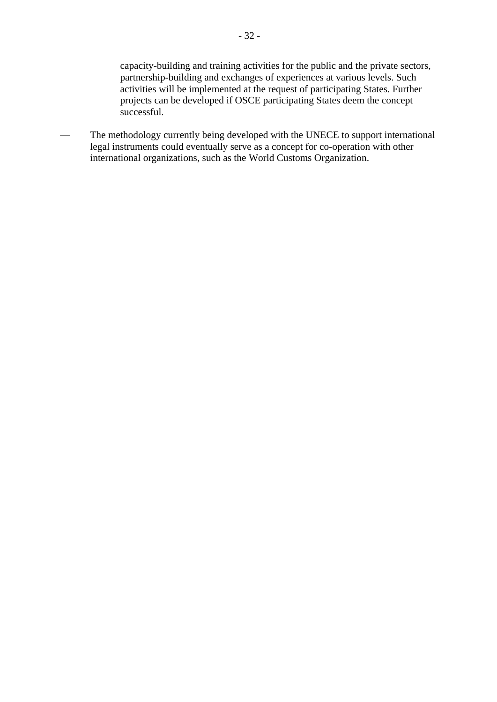capacity-building and training activities for the public and the private sectors, partnership-building and exchanges of experiences at various levels. Such activities will be implemented at the request of participating States. Further projects can be developed if OSCE participating States deem the concept successful.

— The methodology currently being developed with the UNECE to support international legal instruments could eventually serve as a concept for co-operation with other international organizations, such as the World Customs Organization.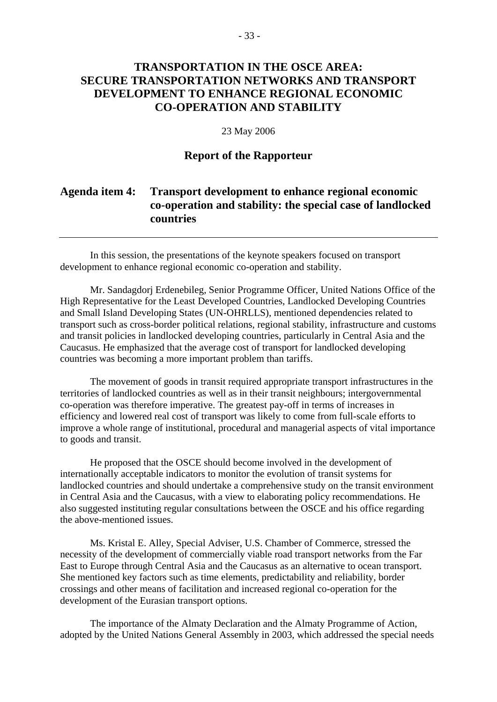# **TRANSPORTATION IN THE OSCE AREA: SECURE TRANSPORTATION NETWORKS AND TRANSPORT DEVELOPMENT TO ENHANCE REGIONAL ECONOMIC CO-OPERATION AND STABILITY**

#### 23 May 2006

### **Report of the Rapporteur**

# **Agenda item 4: Transport development to enhance regional economic co-operation and stability: the special case of landlocked countries**

 In this session, the presentations of the keynote speakers focused on transport development to enhance regional economic co-operation and stability.

 Mr. Sandagdorj Erdenebileg, Senior Programme Officer, United Nations Office of the High Representative for the Least Developed Countries, Landlocked Developing Countries and Small Island Developing States (UN-OHRLLS), mentioned dependencies related to transport such as cross-border political relations, regional stability, infrastructure and customs and transit policies in landlocked developing countries, particularly in Central Asia and the Caucasus. He emphasized that the average cost of transport for landlocked developing countries was becoming a more important problem than tariffs.

 The movement of goods in transit required appropriate transport infrastructures in the territories of landlocked countries as well as in their transit neighbours; intergovernmental co-operation was therefore imperative. The greatest pay-off in terms of increases in efficiency and lowered real cost of transport was likely to come from full-scale efforts to improve a whole range of institutional, procedural and managerial aspects of vital importance to goods and transit.

 He proposed that the OSCE should become involved in the development of internationally acceptable indicators to monitor the evolution of transit systems for landlocked countries and should undertake a comprehensive study on the transit environment in Central Asia and the Caucasus, with a view to elaborating policy recommendations. He also suggested instituting regular consultations between the OSCE and his office regarding the above-mentioned issues.

 Ms. Kristal E. Alley, Special Adviser, U.S. Chamber of Commerce, stressed the necessity of the development of commercially viable road transport networks from the Far East to Europe through Central Asia and the Caucasus as an alternative to ocean transport. She mentioned key factors such as time elements, predictability and reliability, border crossings and other means of facilitation and increased regional co-operation for the development of the Eurasian transport options.

 The importance of the Almaty Declaration and the Almaty Programme of Action, adopted by the United Nations General Assembly in 2003, which addressed the special needs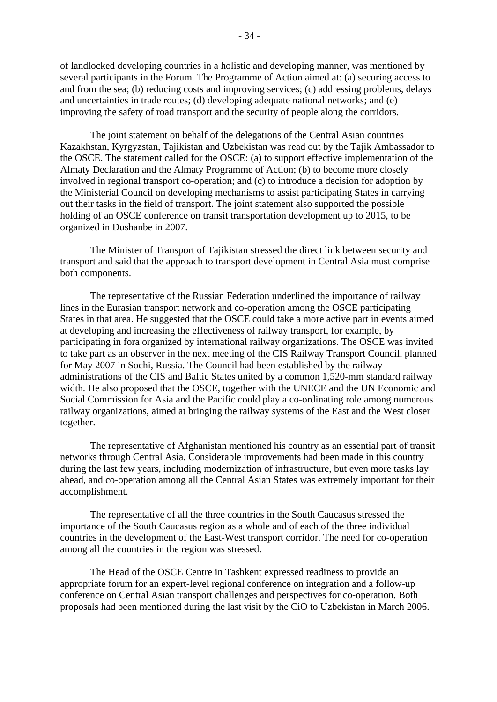of landlocked developing countries in a holistic and developing manner, was mentioned by several participants in the Forum. The Programme of Action aimed at: (a) securing access to and from the sea; (b) reducing costs and improving services; (c) addressing problems, delays and uncertainties in trade routes; (d) developing adequate national networks; and (e) improving the safety of road transport and the security of people along the corridors.

 The joint statement on behalf of the delegations of the Central Asian countries Kazakhstan, Kyrgyzstan, Tajikistan and Uzbekistan was read out by the Tajik Ambassador to the OSCE. The statement called for the OSCE: (a) to support effective implementation of the Almaty Declaration and the Almaty Programme of Action; (b) to become more closely involved in regional transport co-operation; and (c) to introduce a decision for adoption by the Ministerial Council on developing mechanisms to assist participating States in carrying out their tasks in the field of transport. The joint statement also supported the possible holding of an OSCE conference on transit transportation development up to 2015, to be organized in Dushanbe in 2007.

 The Minister of Transport of Tajikistan stressed the direct link between security and transport and said that the approach to transport development in Central Asia must comprise both components.

 The representative of the Russian Federation underlined the importance of railway lines in the Eurasian transport network and co-operation among the OSCE participating States in that area. He suggested that the OSCE could take a more active part in events aimed at developing and increasing the effectiveness of railway transport, for example, by participating in fora organized by international railway organizations. The OSCE was invited to take part as an observer in the next meeting of the CIS Railway Transport Council, planned for May 2007 in Sochi, Russia. The Council had been established by the railway administrations of the CIS and Baltic States united by a common 1,520-mm standard railway width. He also proposed that the OSCE, together with the UNECE and the UN Economic and Social Commission for Asia and the Pacific could play a co-ordinating role among numerous railway organizations, aimed at bringing the railway systems of the East and the West closer together.

 The representative of Afghanistan mentioned his country as an essential part of transit networks through Central Asia. Considerable improvements had been made in this country during the last few years, including modernization of infrastructure, but even more tasks lay ahead, and co-operation among all the Central Asian States was extremely important for their accomplishment.

 The representative of all the three countries in the South Caucasus stressed the importance of the South Caucasus region as a whole and of each of the three individual countries in the development of the East-West transport corridor. The need for co-operation among all the countries in the region was stressed.

 The Head of the OSCE Centre in Tashkent expressed readiness to provide an appropriate forum for an expert-level regional conference on integration and a follow-up conference on Central Asian transport challenges and perspectives for co-operation. Both proposals had been mentioned during the last visit by the CiO to Uzbekistan in March 2006.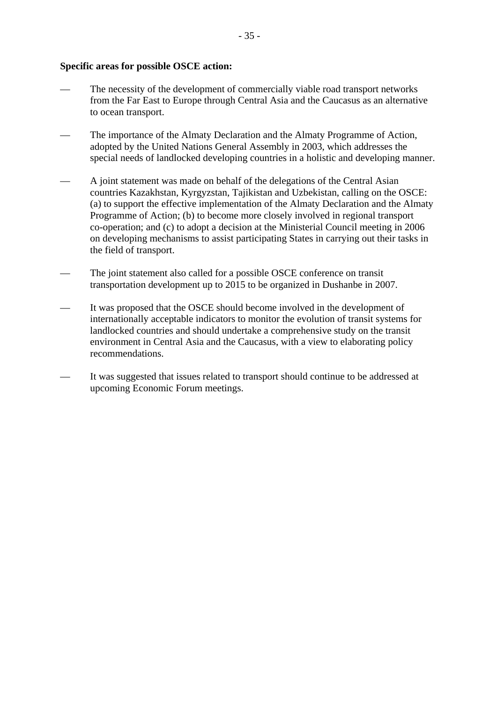#### **Specific areas for possible OSCE action:**

- The necessity of the development of commercially viable road transport networks from the Far East to Europe through Central Asia and the Caucasus as an alternative to ocean transport.
- The importance of the Almaty Declaration and the Almaty Programme of Action, adopted by the United Nations General Assembly in 2003, which addresses the special needs of landlocked developing countries in a holistic and developing manner.
- A joint statement was made on behalf of the delegations of the Central Asian countries Kazakhstan, Kyrgyzstan, Tajikistan and Uzbekistan, calling on the OSCE: (a) to support the effective implementation of the Almaty Declaration and the Almaty Programme of Action; (b) to become more closely involved in regional transport co-operation; and (c) to adopt a decision at the Ministerial Council meeting in 2006 on developing mechanisms to assist participating States in carrying out their tasks in the field of transport.
- The joint statement also called for a possible OSCE conference on transit transportation development up to 2015 to be organized in Dushanbe in 2007.
- It was proposed that the OSCE should become involved in the development of internationally acceptable indicators to monitor the evolution of transit systems for landlocked countries and should undertake a comprehensive study on the transit environment in Central Asia and the Caucasus, with a view to elaborating policy recommendations.
- It was suggested that issues related to transport should continue to be addressed at upcoming Economic Forum meetings.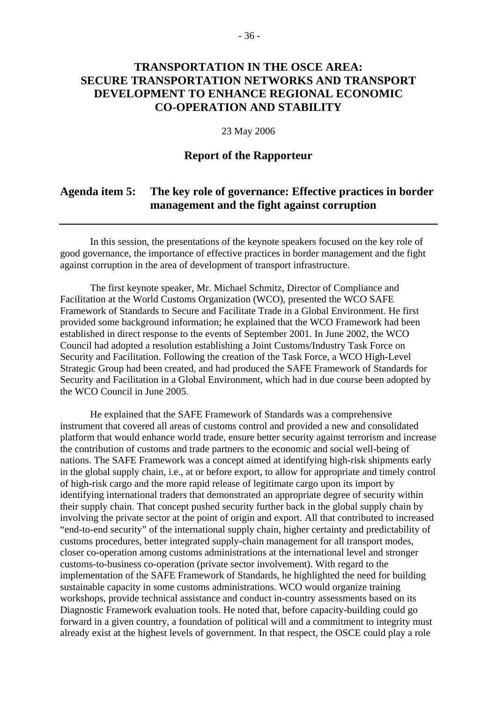# **TRANSPORTATION IN THE OSCE AREA: SECURE TRANSPORTATION NETWORKS AND TRANSPORT DEVELOPMENT TO ENHANCE REGIONAL ECONOMIC CO-OPERATION AND STABILITY**

#### 23 May 2006

### **Report of the Rapporteur**

## **Agenda item 5: The key role of governance: Effective practices in border management and the fight against corruption**

 In this session, the presentations of the keynote speakers focused on the key role of good governance, the importance of effective practices in border management and the fight against corruption in the area of development of transport infrastructure.

 The first keynote speaker, Mr. Michael Schmitz, Director of Compliance and Facilitation at the World Customs Organization (WCO), presented the WCO SAFE Framework of Standards to Secure and Facilitate Trade in a Global Environment. He first provided some background information; he explained that the WCO Framework had been established in direct response to the events of September 2001. In June 2002, the WCO Council had adopted a resolution establishing a Joint Customs/Industry Task Force on Security and Facilitation. Following the creation of the Task Force, a WCO High-Level Strategic Group had been created, and had produced the SAFE Framework of Standards for Security and Facilitation in a Global Environment, which had in due course been adopted by the WCO Council in June 2005.

 He explained that the SAFE Framework of Standards was a comprehensive instrument that covered all areas of customs control and provided a new and consolidated platform that would enhance world trade, ensure better security against terrorism and increase the contribution of customs and trade partners to the economic and social well-being of nations. The SAFE Framework was a concept aimed at identifying high-risk shipments early in the global supply chain, i.e., at or before export, to allow for appropriate and timely control of high-risk cargo and the more rapid release of legitimate cargo upon its import by identifying international traders that demonstrated an appropriate degree of security within their supply chain. That concept pushed security further back in the global supply chain by involving the private sector at the point of origin and export. All that contributed to increased "end-to-end security" of the international supply chain, higher certainty and predictability of customs procedures, better integrated supply-chain management for all transport modes, closer co-operation among customs administrations at the international level and stronger customs-to-business co-operation (private sector involvement). With regard to the implementation of the SAFE Framework of Standards, he highlighted the need for building sustainable capacity in some customs administrations. WCO would organize training workshops, provide technical assistance and conduct in-country assessments based on its Diagnostic Framework evaluation tools. He noted that, before capacity-building could go forward in a given country, a foundation of political will and a commitment to integrity must already exist at the highest levels of government. In that respect, the OSCE could play a role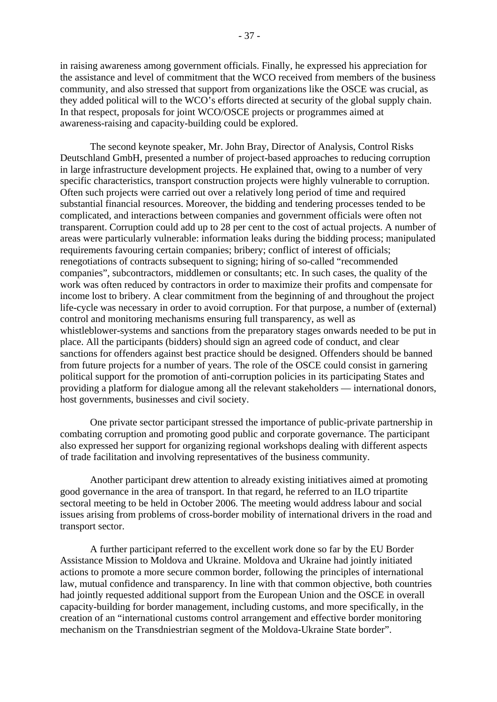in raising awareness among government officials. Finally, he expressed his appreciation for the assistance and level of commitment that the WCO received from members of the business community, and also stressed that support from organizations like the OSCE was crucial, as they added political will to the WCO's efforts directed at security of the global supply chain. In that respect, proposals for joint WCO/OSCE projects or programmes aimed at awareness-raising and capacity-building could be explored.

 The second keynote speaker, Mr. John Bray, Director of Analysis, Control Risks Deutschland GmbH, presented a number of project-based approaches to reducing corruption in large infrastructure development projects. He explained that, owing to a number of very specific characteristics, transport construction projects were highly vulnerable to corruption. Often such projects were carried out over a relatively long period of time and required substantial financial resources. Moreover, the bidding and tendering processes tended to be complicated, and interactions between companies and government officials were often not transparent. Corruption could add up to 28 per cent to the cost of actual projects. A number of areas were particularly vulnerable: information leaks during the bidding process; manipulated requirements favouring certain companies; bribery; conflict of interest of officials; renegotiations of contracts subsequent to signing; hiring of so-called "recommended companies", subcontractors, middlemen or consultants; etc. In such cases, the quality of the work was often reduced by contractors in order to maximize their profits and compensate for income lost to bribery. A clear commitment from the beginning of and throughout the project life-cycle was necessary in order to avoid corruption. For that purpose, a number of (external) control and monitoring mechanisms ensuring full transparency, as well as whistleblower-systems and sanctions from the preparatory stages onwards needed to be put in place. All the participants (bidders) should sign an agreed code of conduct, and clear sanctions for offenders against best practice should be designed. Offenders should be banned from future projects for a number of years. The role of the OSCE could consist in garnering political support for the promotion of anti-corruption policies in its participating States and providing a platform for dialogue among all the relevant stakeholders — international donors, host governments, businesses and civil society.

 One private sector participant stressed the importance of public-private partnership in combating corruption and promoting good public and corporate governance. The participant also expressed her support for organizing regional workshops dealing with different aspects of trade facilitation and involving representatives of the business community.

 Another participant drew attention to already existing initiatives aimed at promoting good governance in the area of transport. In that regard, he referred to an ILO tripartite sectoral meeting to be held in October 2006. The meeting would address labour and social issues arising from problems of cross-border mobility of international drivers in the road and transport sector.

A further participant referred to the excellent work done so far by the EU Border Assistance Mission to Moldova and Ukraine. Moldova and Ukraine had jointly initiated actions to promote a more secure common border, following the principles of international law, mutual confidence and transparency. In line with that common objective, both countries had jointly requested additional support from the European Union and the OSCE in overall capacity-building for border management, including customs, and more specifically, in the creation of an "international customs control arrangement and effective border monitoring mechanism on the Transdniestrian segment of the Moldova-Ukraine State border".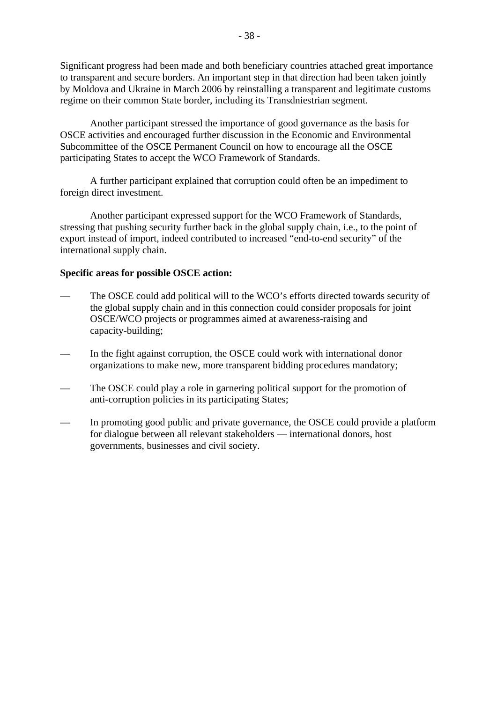Significant progress had been made and both beneficiary countries attached great importance to transparent and secure borders. An important step in that direction had been taken jointly by Moldova and Ukraine in March 2006 by reinstalling a transparent and legitimate customs regime on their common State border, including its Transdniestrian segment.

 Another participant stressed the importance of good governance as the basis for OSCE activities and encouraged further discussion in the Economic and Environmental Subcommittee of the OSCE Permanent Council on how to encourage all the OSCE participating States to accept the WCO Framework of Standards.

 A further participant explained that corruption could often be an impediment to foreign direct investment.

 Another participant expressed support for the WCO Framework of Standards, stressing that pushing security further back in the global supply chain, i.e., to the point of export instead of import, indeed contributed to increased "end-to-end security" of the international supply chain.

#### **Specific areas for possible OSCE action:**

- The OSCE could add political will to the WCO's efforts directed towards security of the global supply chain and in this connection could consider proposals for joint OSCE/WCO projects or programmes aimed at awareness-raising and capacity-building;
- In the fight against corruption, the OSCE could work with international donor organizations to make new, more transparent bidding procedures mandatory;
- The OSCE could play a role in garnering political support for the promotion of anti-corruption policies in its participating States;
- In promoting good public and private governance, the OSCE could provide a platform for dialogue between all relevant stakeholders — international donors, host governments, businesses and civil society.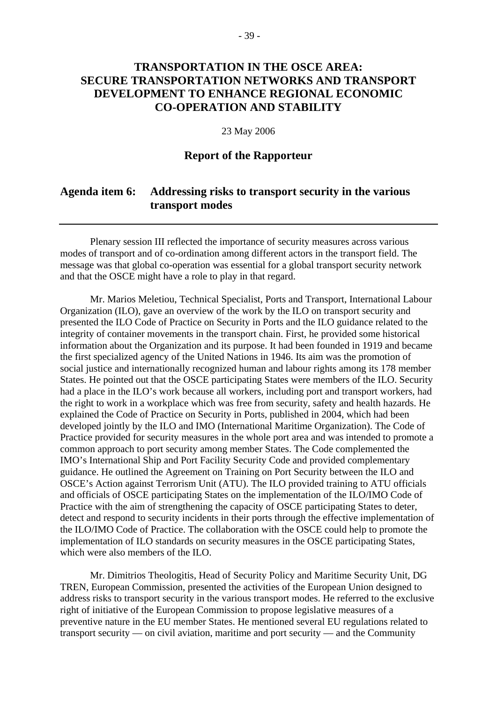# **TRANSPORTATION IN THE OSCE AREA: SECURE TRANSPORTATION NETWORKS AND TRANSPORT DEVELOPMENT TO ENHANCE REGIONAL ECONOMIC CO-OPERATION AND STABILITY**

#### 23 May 2006

### **Report of the Rapporteur**

### **Agenda item 6: Addressing risks to transport security in the various transport modes**

 Plenary session III reflected the importance of security measures across various modes of transport and of co-ordination among different actors in the transport field. The message was that global co-operation was essential for a global transport security network and that the OSCE might have a role to play in that regard.

 Mr. Marios Meletiou, Technical Specialist, Ports and Transport, International Labour Organization (ILO), gave an overview of the work by the ILO on transport security and presented the ILO Code of Practice on Security in Ports and the ILO guidance related to the integrity of container movements in the transport chain. First, he provided some historical information about the Organization and its purpose. It had been founded in 1919 and became the first specialized agency of the United Nations in 1946. Its aim was the promotion of social justice and internationally recognized human and labour rights among its 178 member States. He pointed out that the OSCE participating States were members of the ILO. Security had a place in the ILO's work because all workers, including port and transport workers, had the right to work in a workplace which was free from security, safety and health hazards. He explained the Code of Practice on Security in Ports, published in 2004, which had been developed jointly by the ILO and IMO (International Maritime Organization). The Code of Practice provided for security measures in the whole port area and was intended to promote a common approach to port security among member States. The Code complemented the IMO's International Ship and Port Facility Security Code and provided complementary guidance. He outlined the Agreement on Training on Port Security between the ILO and OSCE's Action against Terrorism Unit (ATU). The ILO provided training to ATU officials and officials of OSCE participating States on the implementation of the ILO/IMO Code of Practice with the aim of strengthening the capacity of OSCE participating States to deter, detect and respond to security incidents in their ports through the effective implementation of the ILO/IMO Code of Practice. The collaboration with the OSCE could help to promote the implementation of ILO standards on security measures in the OSCE participating States, which were also members of the ILO.

 Mr. Dimitrios Theologitis, Head of Security Policy and Maritime Security Unit, DG TREN, European Commission, presented the activities of the European Union designed to address risks to transport security in the various transport modes. He referred to the exclusive right of initiative of the European Commission to propose legislative measures of a preventive nature in the EU member States. He mentioned several EU regulations related to transport security — on civil aviation, maritime and port security — and the Community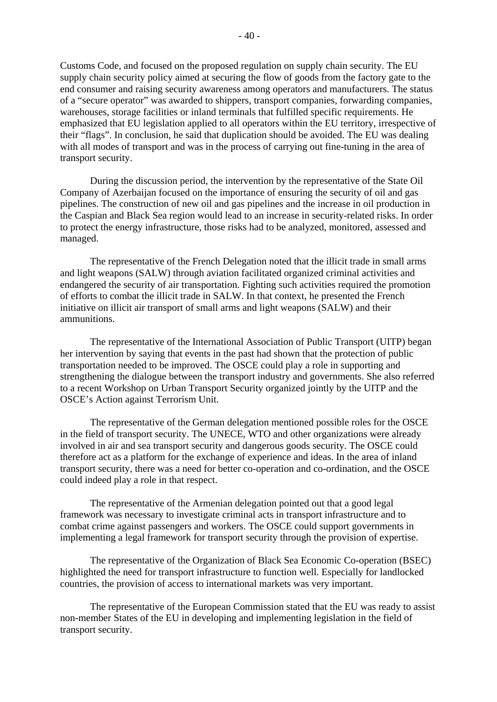Customs Code, and focused on the proposed regulation on supply chain security. The EU

 $-40-$ 

supply chain security policy aimed at securing the flow of goods from the factory gate to the end consumer and raising security awareness among operators and manufacturers. The status of a "secure operator" was awarded to shippers, transport companies, forwarding companies, warehouses, storage facilities or inland terminals that fulfilled specific requirements. He emphasized that EU legislation applied to all operators within the EU territory, irrespective of their "flags". In conclusion, he said that duplication should be avoided. The EU was dealing with all modes of transport and was in the process of carrying out fine-tuning in the area of transport security.

 During the discussion period, the intervention by the representative of the State Oil Company of Azerbaijan focused on the importance of ensuring the security of oil and gas pipelines. The construction of new oil and gas pipelines and the increase in oil production in the Caspian and Black Sea region would lead to an increase in security-related risks. In order to protect the energy infrastructure, those risks had to be analyzed, monitored, assessed and managed.

 The representative of the French Delegation noted that the illicit trade in small arms and light weapons (SALW) through aviation facilitated organized criminal activities and endangered the security of air transportation. Fighting such activities required the promotion of efforts to combat the illicit trade in SALW. In that context, he presented the French initiative on illicit air transport of small arms and light weapons (SALW) and their ammunitions.

 The representative of the International Association of Public Transport (UITP) began her intervention by saying that events in the past had shown that the protection of public transportation needed to be improved. The OSCE could play a role in supporting and strengthening the dialogue between the transport industry and governments. She also referred to a recent Workshop on Urban Transport Security organized jointly by the UITP and the OSCE's Action against Terrorism Unit.

 The representative of the German delegation mentioned possible roles for the OSCE in the field of transport security. The UNECE, WTO and other organizations were already involved in air and sea transport security and dangerous goods security. The OSCE could therefore act as a platform for the exchange of experience and ideas. In the area of inland transport security, there was a need for better co-operation and co-ordination, and the OSCE could indeed play a role in that respect.

 The representative of the Armenian delegation pointed out that a good legal framework was necessary to investigate criminal acts in transport infrastructure and to combat crime against passengers and workers. The OSCE could support governments in implementing a legal framework for transport security through the provision of expertise.

 The representative of the Organization of Black Sea Economic Co-operation (BSEC) highlighted the need for transport infrastructure to function well. Especially for landlocked countries, the provision of access to international markets was very important.

 The representative of the European Commission stated that the EU was ready to assist non-member States of the EU in developing and implementing legislation in the field of transport security.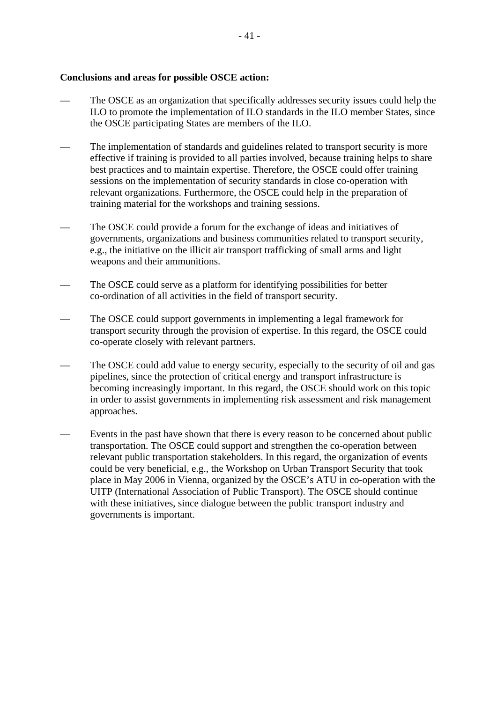#### **Conclusions and areas for possible OSCE action:**

- The OSCE as an organization that specifically addresses security issues could help the ILO to promote the implementation of ILO standards in the ILO member States, since the OSCE participating States are members of the ILO.
- The implementation of standards and guidelines related to transport security is more effective if training is provided to all parties involved, because training helps to share best practices and to maintain expertise. Therefore, the OSCE could offer training sessions on the implementation of security standards in close co-operation with relevant organizations. Furthermore, the OSCE could help in the preparation of training material for the workshops and training sessions.
- The OSCE could provide a forum for the exchange of ideas and initiatives of governments, organizations and business communities related to transport security, e.g., the initiative on the illicit air transport trafficking of small arms and light weapons and their ammunitions.
- The OSCE could serve as a platform for identifying possibilities for better co-ordination of all activities in the field of transport security.
- The OSCE could support governments in implementing a legal framework for transport security through the provision of expertise. In this regard, the OSCE could co-operate closely with relevant partners.
- The OSCE could add value to energy security, especially to the security of oil and gas pipelines, since the protection of critical energy and transport infrastructure is becoming increasingly important. In this regard, the OSCE should work on this topic in order to assist governments in implementing risk assessment and risk management approaches.
- Events in the past have shown that there is every reason to be concerned about public transportation. The OSCE could support and strengthen the co-operation between relevant public transportation stakeholders. In this regard, the organization of events could be very beneficial, e.g., the Workshop on Urban Transport Security that took place in May 2006 in Vienna, organized by the OSCE's ATU in co-operation with the UITP (International Association of Public Transport). The OSCE should continue with these initiatives, since dialogue between the public transport industry and governments is important.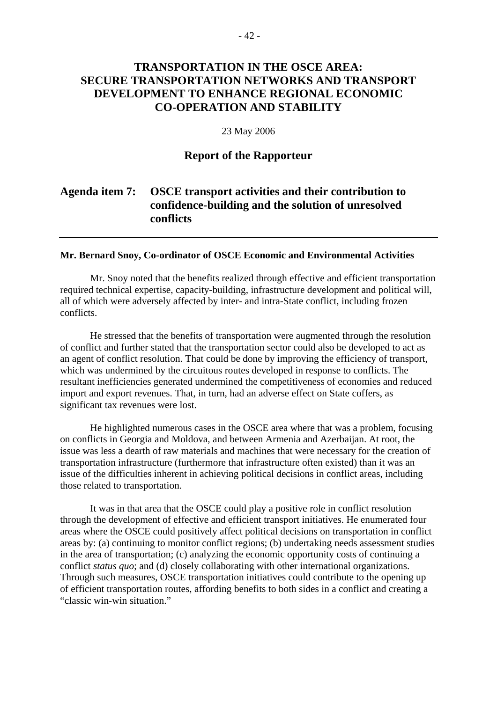# **TRANSPORTATION IN THE OSCE AREA: SECURE TRANSPORTATION NETWORKS AND TRANSPORT DEVELOPMENT TO ENHANCE REGIONAL ECONOMIC CO-OPERATION AND STABILITY**

#### 23 May 2006

### **Report of the Rapporteur**

# **Agenda item 7: OSCE transport activities and their contribution to confidence-building and the solution of unresolved conflicts**

#### **Mr. Bernard Snoy, Co-ordinator of OSCE Economic and Environmental Activities**

Mr. Snoy noted that the benefits realized through effective and efficient transportation required technical expertise, capacity-building, infrastructure development and political will, all of which were adversely affected by inter- and intra-State conflict, including frozen conflicts.

He stressed that the benefits of transportation were augmented through the resolution of conflict and further stated that the transportation sector could also be developed to act as an agent of conflict resolution. That could be done by improving the efficiency of transport, which was undermined by the circuitous routes developed in response to conflicts. The resultant inefficiencies generated undermined the competitiveness of economies and reduced import and export revenues. That, in turn, had an adverse effect on State coffers, as significant tax revenues were lost.

 He highlighted numerous cases in the OSCE area where that was a problem, focusing on conflicts in Georgia and Moldova, and between Armenia and Azerbaijan. At root, the issue was less a dearth of raw materials and machines that were necessary for the creation of transportation infrastructure (furthermore that infrastructure often existed) than it was an issue of the difficulties inherent in achieving political decisions in conflict areas, including those related to transportation.

 It was in that area that the OSCE could play a positive role in conflict resolution through the development of effective and efficient transport initiatives. He enumerated four areas where the OSCE could positively affect political decisions on transportation in conflict areas by: (a) continuing to monitor conflict regions; (b) undertaking needs assessment studies in the area of transportation; (c) analyzing the economic opportunity costs of continuing a conflict *status quo*; and (d) closely collaborating with other international organizations. Through such measures, OSCE transportation initiatives could contribute to the opening up of efficient transportation routes, affording benefits to both sides in a conflict and creating a "classic win-win situation."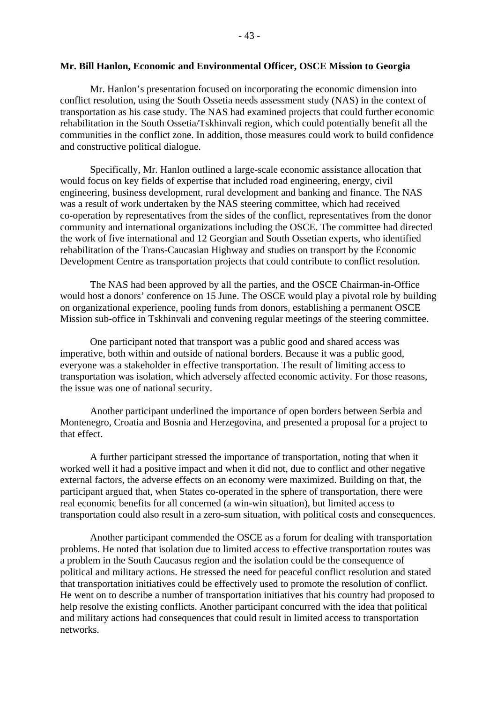#### **Mr. Bill Hanlon, Economic and Environmental Officer, OSCE Mission to Georgia**

Mr. Hanlon's presentation focused on incorporating the economic dimension into conflict resolution, using the South Ossetia needs assessment study (NAS) in the context of transportation as his case study. The NAS had examined projects that could further economic rehabilitation in the South Ossetia/Tskhinvali region, which could potentially benefit all the communities in the conflict zone. In addition, those measures could work to build confidence and constructive political dialogue.

 Specifically, Mr. Hanlon outlined a large-scale economic assistance allocation that would focus on key fields of expertise that included road engineering, energy, civil engineering, business development, rural development and banking and finance. The NAS was a result of work undertaken by the NAS steering committee, which had received co-operation by representatives from the sides of the conflict, representatives from the donor community and international organizations including the OSCE. The committee had directed the work of five international and 12 Georgian and South Ossetian experts, who identified rehabilitation of the Trans-Caucasian Highway and studies on transport by the Economic Development Centre as transportation projects that could contribute to conflict resolution.

 The NAS had been approved by all the parties, and the OSCE Chairman-in-Office would host a donors' conference on 15 June. The OSCE would play a pivotal role by building on organizational experience, pooling funds from donors, establishing a permanent OSCE Mission sub-office in Tskhinvali and convening regular meetings of the steering committee.

 One participant noted that transport was a public good and shared access was imperative, both within and outside of national borders. Because it was a public good, everyone was a stakeholder in effective transportation. The result of limiting access to transportation was isolation, which adversely affected economic activity. For those reasons, the issue was one of national security.

 Another participant underlined the importance of open borders between Serbia and Montenegro, Croatia and Bosnia and Herzegovina, and presented a proposal for a project to that effect.

 A further participant stressed the importance of transportation, noting that when it worked well it had a positive impact and when it did not, due to conflict and other negative external factors, the adverse effects on an economy were maximized. Building on that, the participant argued that, when States co-operated in the sphere of transportation, there were real economic benefits for all concerned (a win-win situation), but limited access to transportation could also result in a zero-sum situation, with political costs and consequences.

 Another participant commended the OSCE as a forum for dealing with transportation problems. He noted that isolation due to limited access to effective transportation routes was a problem in the South Caucasus region and the isolation could be the consequence of political and military actions. He stressed the need for peaceful conflict resolution and stated that transportation initiatives could be effectively used to promote the resolution of conflict. He went on to describe a number of transportation initiatives that his country had proposed to help resolve the existing conflicts. Another participant concurred with the idea that political and military actions had consequences that could result in limited access to transportation networks.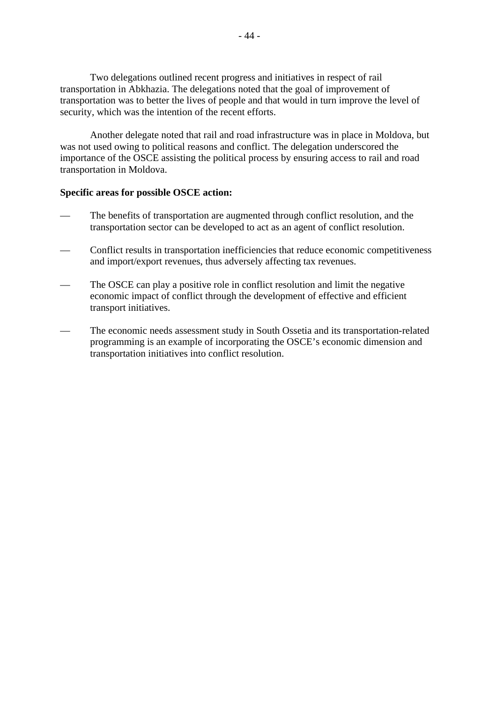Two delegations outlined recent progress and initiatives in respect of rail transportation in Abkhazia. The delegations noted that the goal of improvement of transportation was to better the lives of people and that would in turn improve the level of security, which was the intention of the recent efforts.

 Another delegate noted that rail and road infrastructure was in place in Moldova, but was not used owing to political reasons and conflict. The delegation underscored the importance of the OSCE assisting the political process by ensuring access to rail and road transportation in Moldova.

### **Specific areas for possible OSCE action:**

- The benefits of transportation are augmented through conflict resolution, and the transportation sector can be developed to act as an agent of conflict resolution.
- Conflict results in transportation inefficiencies that reduce economic competitiveness and import/export revenues, thus adversely affecting tax revenues.
- The OSCE can play a positive role in conflict resolution and limit the negative economic impact of conflict through the development of effective and efficient transport initiatives.
- The economic needs assessment study in South Ossetia and its transportation-related programming is an example of incorporating the OSCE's economic dimension and transportation initiatives into conflict resolution.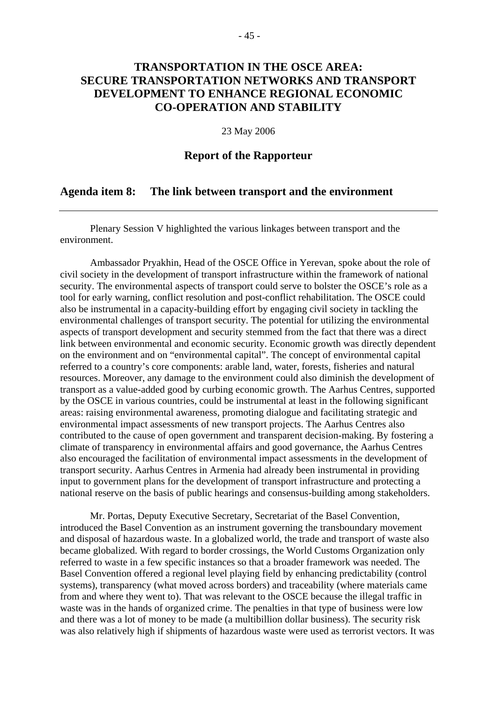# **TRANSPORTATION IN THE OSCE AREA: SECURE TRANSPORTATION NETWORKS AND TRANSPORT DEVELOPMENT TO ENHANCE REGIONAL ECONOMIC CO-OPERATION AND STABILITY**

#### 23 May 2006

### **Report of the Rapporteur**

### **Agenda item 8: The link between transport and the environment**

 Plenary Session V highlighted the various linkages between transport and the environment.

 Ambassador Pryakhin, Head of the OSCE Office in Yerevan, spoke about the role of civil society in the development of transport infrastructure within the framework of national security. The environmental aspects of transport could serve to bolster the OSCE's role as a tool for early warning, conflict resolution and post-conflict rehabilitation. The OSCE could also be instrumental in a capacity-building effort by engaging civil society in tackling the environmental challenges of transport security. The potential for utilizing the environmental aspects of transport development and security stemmed from the fact that there was a direct link between environmental and economic security. Economic growth was directly dependent on the environment and on "environmental capital". The concept of environmental capital referred to a country's core components: arable land, water, forests, fisheries and natural resources. Moreover, any damage to the environment could also diminish the development of transport as a value-added good by curbing economic growth. The Aarhus Centres, supported by the OSCE in various countries, could be instrumental at least in the following significant areas: raising environmental awareness, promoting dialogue and facilitating strategic and environmental impact assessments of new transport projects. The Aarhus Centres also contributed to the cause of open government and transparent decision-making. By fostering a climate of transparency in environmental affairs and good governance, the Aarhus Centres also encouraged the facilitation of environmental impact assessments in the development of transport security. Aarhus Centres in Armenia had already been instrumental in providing input to government plans for the development of transport infrastructure and protecting a national reserve on the basis of public hearings and consensus-building among stakeholders.

 Mr. Portas, Deputy Executive Secretary, Secretariat of the Basel Convention, introduced the Basel Convention as an instrument governing the transboundary movement and disposal of hazardous waste. In a globalized world, the trade and transport of waste also became globalized. With regard to border crossings, the World Customs Organization only referred to waste in a few specific instances so that a broader framework was needed. The Basel Convention offered a regional level playing field by enhancing predictability (control systems), transparency (what moved across borders) and traceability (where materials came from and where they went to). That was relevant to the OSCE because the illegal traffic in waste was in the hands of organized crime. The penalties in that type of business were low and there was a lot of money to be made (a multibillion dollar business). The security risk was also relatively high if shipments of hazardous waste were used as terrorist vectors. It was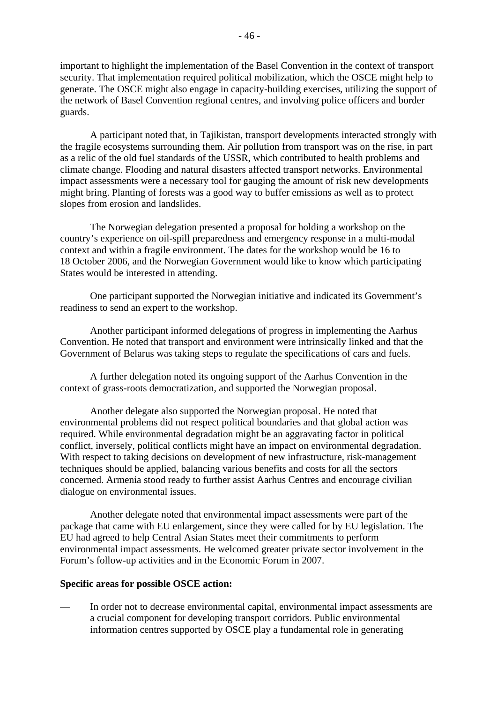important to highlight the implementation of the Basel Convention in the context of transport security. That implementation required political mobilization, which the OSCE might help to generate. The OSCE might also engage in capacity-building exercises, utilizing the support of the network of Basel Convention regional centres, and involving police officers and border guards.

 A participant noted that, in Tajikistan, transport developments interacted strongly with the fragile ecosystems surrounding them. Air pollution from transport was on the rise, in part as a relic of the old fuel standards of the USSR, which contributed to health problems and climate change. Flooding and natural disasters affected transport networks. Environmental impact assessments were a necessary tool for gauging the amount of risk new developments might bring. Planting of forests was a good way to buffer emissions as well as to protect slopes from erosion and landslides.

 The Norwegian delegation presented a proposal for holding a workshop on the country's experience on oil-spill preparedness and emergency response in a multi-modal context and within a fragile environment. The dates for the workshop would be 16 to 18 October 2006, and the Norwegian Government would like to know which participating States would be interested in attending.

 One participant supported the Norwegian initiative and indicated its Government's readiness to send an expert to the workshop.

 Another participant informed delegations of progress in implementing the Aarhus Convention. He noted that transport and environment were intrinsically linked and that the Government of Belarus was taking steps to regulate the specifications of cars and fuels.

 A further delegation noted its ongoing support of the Aarhus Convention in the context of grass-roots democratization, and supported the Norwegian proposal.

 Another delegate also supported the Norwegian proposal. He noted that environmental problems did not respect political boundaries and that global action was required. While environmental degradation might be an aggravating factor in political conflict, inversely, political conflicts might have an impact on environmental degradation. With respect to taking decisions on development of new infrastructure, risk-management techniques should be applied, balancing various benefits and costs for all the sectors concerned. Armenia stood ready to further assist Aarhus Centres and encourage civilian dialogue on environmental issues.

 Another delegate noted that environmental impact assessments were part of the package that came with EU enlargement, since they were called for by EU legislation. The EU had agreed to help Central Asian States meet their commitments to perform environmental impact assessments. He welcomed greater private sector involvement in the Forum's follow-up activities and in the Economic Forum in 2007.

#### **Specific areas for possible OSCE action:**

— In order not to decrease environmental capital, environmental impact assessments are a crucial component for developing transport corridors. Public environmental information centres supported by OSCE play a fundamental role in generating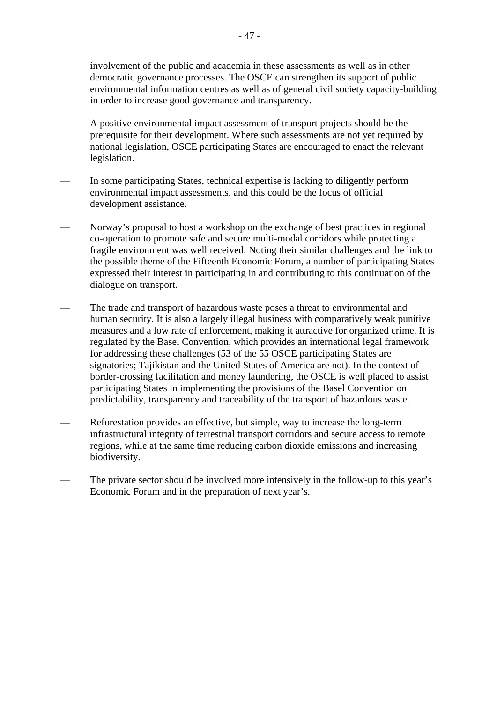involvement of the public and academia in these assessments as well as in other democratic governance processes. The OSCE can strengthen its support of public environmental information centres as well as of general civil society capacity-building in order to increase good governance and transparency.

- A positive environmental impact assessment of transport projects should be the prerequisite for their development. Where such assessments are not yet required by national legislation, OSCE participating States are encouraged to enact the relevant legislation.
- In some participating States, technical expertise is lacking to diligently perform environmental impact assessments, and this could be the focus of official development assistance.
- Norway's proposal to host a workshop on the exchange of best practices in regional co-operation to promote safe and secure multi-modal corridors while protecting a fragile environment was well received. Noting their similar challenges and the link to the possible theme of the Fifteenth Economic Forum, a number of participating States expressed their interest in participating in and contributing to this continuation of the dialogue on transport.
- The trade and transport of hazardous waste poses a threat to environmental and human security. It is also a largely illegal business with comparatively weak punitive measures and a low rate of enforcement, making it attractive for organized crime. It is regulated by the Basel Convention, which provides an international legal framework for addressing these challenges (53 of the 55 OSCE participating States are signatories; Tajikistan and the United States of America are not). In the context of border-crossing facilitation and money laundering, the OSCE is well placed to assist participating States in implementing the provisions of the Basel Convention on predictability, transparency and traceability of the transport of hazardous waste.
- Reforestation provides an effective, but simple, way to increase the long-term infrastructural integrity of terrestrial transport corridors and secure access to remote regions, while at the same time reducing carbon dioxide emissions and increasing biodiversity.
- The private sector should be involved more intensively in the follow-up to this year's Economic Forum and in the preparation of next year's.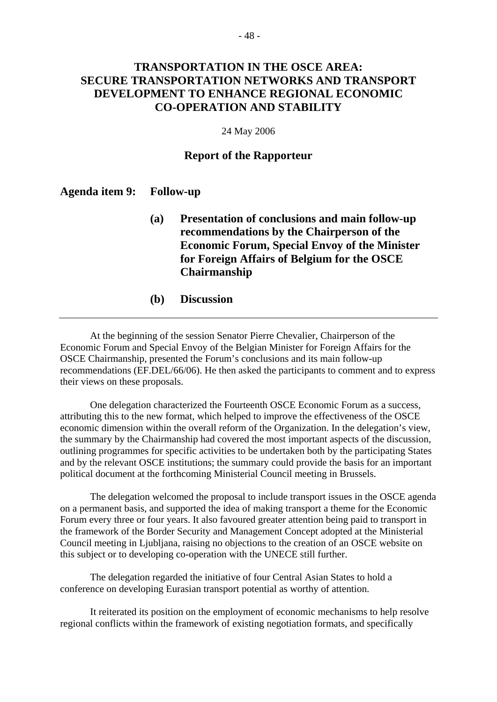# **TRANSPORTATION IN THE OSCE AREA: SECURE TRANSPORTATION NETWORKS AND TRANSPORT DEVELOPMENT TO ENHANCE REGIONAL ECONOMIC CO-OPERATION AND STABILITY**

#### 24 May 2006

### **Report of the Rapporteur**

### **Agenda item 9: Follow-up**

- **(a) Presentation of conclusions and main follow-up recommendations by the Chairperson of the Economic Forum, Special Envoy of the Minister for Foreign Affairs of Belgium for the OSCE Chairmanship**
- **(b) Discussion**

 At the beginning of the session Senator Pierre Chevalier, Chairperson of the Economic Forum and Special Envoy of the Belgian Minister for Foreign Affairs for the OSCE Chairmanship, presented the Forum's conclusions and its main follow-up recommendations (EF.DEL/66/06). He then asked the participants to comment and to express their views on these proposals.

 One delegation characterized the Fourteenth OSCE Economic Forum as a success, attributing this to the new format, which helped to improve the effectiveness of the OSCE economic dimension within the overall reform of the Organization. In the delegation's view, the summary by the Chairmanship had covered the most important aspects of the discussion, outlining programmes for specific activities to be undertaken both by the participating States and by the relevant OSCE institutions; the summary could provide the basis for an important political document at the forthcoming Ministerial Council meeting in Brussels.

 The delegation welcomed the proposal to include transport issues in the OSCE agenda on a permanent basis, and supported the idea of making transport a theme for the Economic Forum every three or four years. It also favoured greater attention being paid to transport in the framework of the Border Security and Management Concept adopted at the Ministerial Council meeting in Ljubljana, raising no objections to the creation of an OSCE website on this subject or to developing co-operation with the UNECE still further.

 The delegation regarded the initiative of four Central Asian States to hold a conference on developing Eurasian transport potential as worthy of attention.

 It reiterated its position on the employment of economic mechanisms to help resolve regional conflicts within the framework of existing negotiation formats, and specifically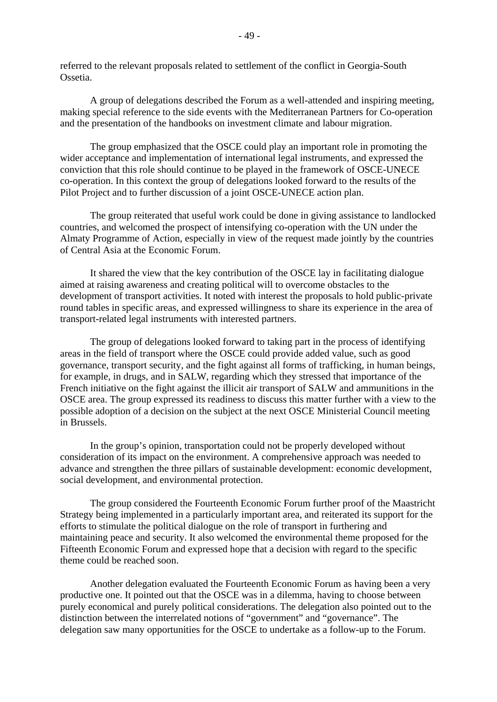referred to the relevant proposals related to settlement of the conflict in Georgia-South Ossetia.

 A group of delegations described the Forum as a well-attended and inspiring meeting, making special reference to the side events with the Mediterranean Partners for Co-operation and the presentation of the handbooks on investment climate and labour migration.

 The group emphasized that the OSCE could play an important role in promoting the wider acceptance and implementation of international legal instruments, and expressed the conviction that this role should continue to be played in the framework of OSCE-UNECE co-operation. In this context the group of delegations looked forward to the results of the Pilot Project and to further discussion of a joint OSCE-UNECE action plan.

 The group reiterated that useful work could be done in giving assistance to landlocked countries, and welcomed the prospect of intensifying co-operation with the UN under the Almaty Programme of Action, especially in view of the request made jointly by the countries of Central Asia at the Economic Forum.

 It shared the view that the key contribution of the OSCE lay in facilitating dialogue aimed at raising awareness and creating political will to overcome obstacles to the development of transport activities. It noted with interest the proposals to hold public-private round tables in specific areas, and expressed willingness to share its experience in the area of transport-related legal instruments with interested partners.

 The group of delegations looked forward to taking part in the process of identifying areas in the field of transport where the OSCE could provide added value, such as good governance, transport security, and the fight against all forms of trafficking, in human beings, for example, in drugs, and in SALW, regarding which they stressed that importance of the French initiative on the fight against the illicit air transport of SALW and ammunitions in the OSCE area. The group expressed its readiness to discuss this matter further with a view to the possible adoption of a decision on the subject at the next OSCE Ministerial Council meeting in Brussels.

 In the group's opinion, transportation could not be properly developed without consideration of its impact on the environment. A comprehensive approach was needed to advance and strengthen the three pillars of sustainable development: economic development, social development, and environmental protection.

 The group considered the Fourteenth Economic Forum further proof of the Maastricht Strategy being implemented in a particularly important area, and reiterated its support for the efforts to stimulate the political dialogue on the role of transport in furthering and maintaining peace and security. It also welcomed the environmental theme proposed for the Fifteenth Economic Forum and expressed hope that a decision with regard to the specific theme could be reached soon.

 Another delegation evaluated the Fourteenth Economic Forum as having been a very productive one. It pointed out that the OSCE was in a dilemma, having to choose between purely economical and purely political considerations. The delegation also pointed out to the distinction between the interrelated notions of "government" and "governance". The delegation saw many opportunities for the OSCE to undertake as a follow-up to the Forum.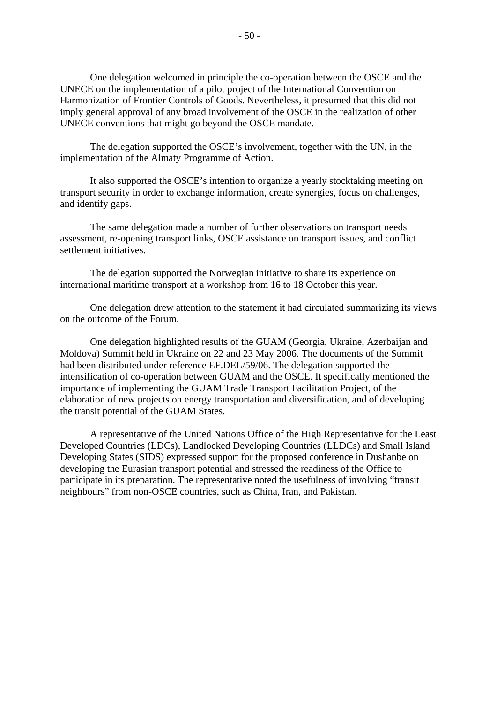One delegation welcomed in principle the co-operation between the OSCE and the UNECE on the implementation of a pilot project of the International Convention on Harmonization of Frontier Controls of Goods. Nevertheless, it presumed that this did not imply general approval of any broad involvement of the OSCE in the realization of other UNECE conventions that might go beyond the OSCE mandate.

 The delegation supported the OSCE's involvement, together with the UN, in the implementation of the Almaty Programme of Action.

 It also supported the OSCE's intention to organize a yearly stocktaking meeting on transport security in order to exchange information, create synergies, focus on challenges, and identify gaps.

 The same delegation made a number of further observations on transport needs assessment, re-opening transport links, OSCE assistance on transport issues, and conflict settlement initiatives.

 The delegation supported the Norwegian initiative to share its experience on international maritime transport at a workshop from 16 to 18 October this year.

 One delegation drew attention to the statement it had circulated summarizing its views on the outcome of the Forum.

 One delegation highlighted results of the GUAM (Georgia, Ukraine, Azerbaijan and Moldova) Summit held in Ukraine on 22 and 23 May 2006. The documents of the Summit had been distributed under reference EF.DEL/59/06. The delegation supported the intensification of co-operation between GUAM and the OSCE. It specifically mentioned the importance of implementing the GUAM Trade Transport Facilitation Project, of the elaboration of new projects on energy transportation and diversification, and of developing the transit potential of the GUAM States.

 A representative of the United Nations Office of the High Representative for the Least Developed Countries (LDCs), Landlocked Developing Countries (LLDCs) and Small Island Developing States (SIDS) expressed support for the proposed conference in Dushanbe on developing the Eurasian transport potential and stressed the readiness of the Office to participate in its preparation. The representative noted the usefulness of involving "transit neighbours" from non-OSCE countries, such as China, Iran, and Pakistan.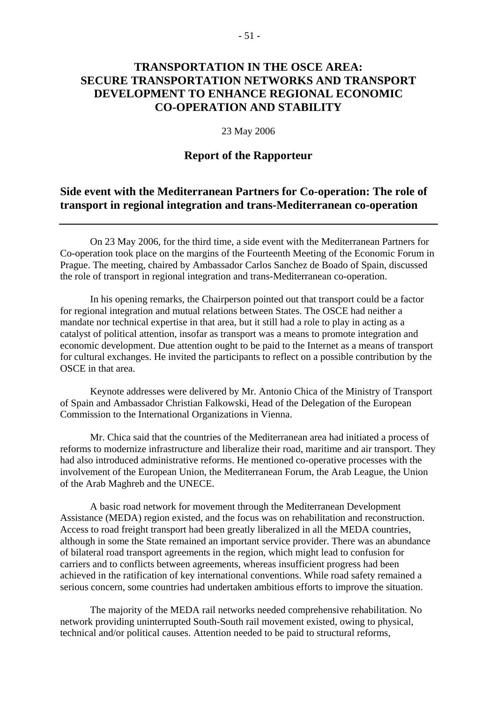# **TRANSPORTATION IN THE OSCE AREA: SECURE TRANSPORTATION NETWORKS AND TRANSPORT DEVELOPMENT TO ENHANCE REGIONAL ECONOMIC CO-OPERATION AND STABILITY**

#### 23 May 2006

### **Report of the Rapporteur**

### **Side event with the Mediterranean Partners for Co-operation: The role of transport in regional integration and trans-Mediterranean co-operation**

 On 23 May 2006, for the third time, a side event with the Mediterranean Partners for Co-operation took place on the margins of the Fourteenth Meeting of the Economic Forum in Prague. The meeting, chaired by Ambassador Carlos Sanchez de Boado of Spain, discussed the role of transport in regional integration and trans-Mediterranean co-operation.

 In his opening remarks, the Chairperson pointed out that transport could be a factor for regional integration and mutual relations between States. The OSCE had neither a mandate nor technical expertise in that area, but it still had a role to play in acting as a catalyst of political attention, insofar as transport was a means to promote integration and economic development. Due attention ought to be paid to the Internet as a means of transport for cultural exchanges. He invited the participants to reflect on a possible contribution by the OSCE in that area.

 Keynote addresses were delivered by Mr. Antonio Chica of the Ministry of Transport of Spain and Ambassador Christian Falkowski, Head of the Delegation of the European Commission to the International Organizations in Vienna.

 Mr. Chica said that the countries of the Mediterranean area had initiated a process of reforms to modernize infrastructure and liberalize their road, maritime and air transport. They had also introduced administrative reforms. He mentioned co-operative processes with the involvement of the European Union, the Mediterranean Forum, the Arab League, the Union of the Arab Maghreb and the UNECE.

 A basic road network for movement through the Mediterranean Development Assistance (MEDA) region existed, and the focus was on rehabilitation and reconstruction. Access to road freight transport had been greatly liberalized in all the MEDA countries, although in some the State remained an important service provider. There was an abundance of bilateral road transport agreements in the region, which might lead to confusion for carriers and to conflicts between agreements, whereas insufficient progress had been achieved in the ratification of key international conventions. While road safety remained a serious concern, some countries had undertaken ambitious efforts to improve the situation.

 The majority of the MEDA rail networks needed comprehensive rehabilitation. No network providing uninterrupted South-South rail movement existed, owing to physical, technical and/or political causes. Attention needed to be paid to structural reforms,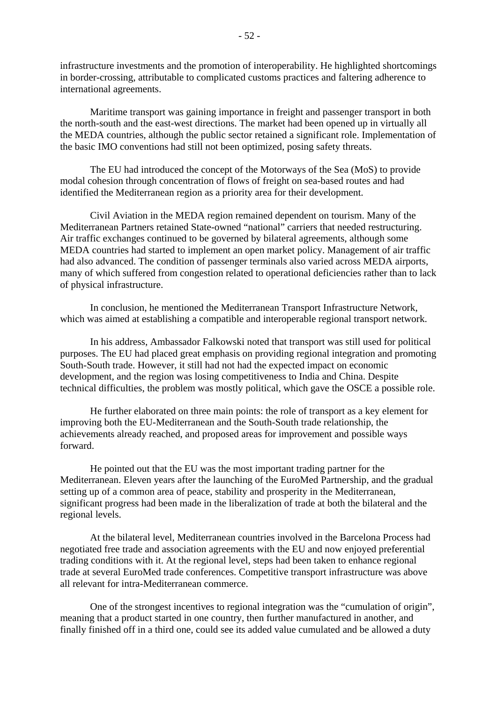infrastructure investments and the promotion of interoperability. He highlighted shortcomings in border-crossing, attributable to complicated customs practices and faltering adherence to international agreements.

 Maritime transport was gaining importance in freight and passenger transport in both the north-south and the east-west directions. The market had been opened up in virtually all the MEDA countries, although the public sector retained a significant role. Implementation of the basic IMO conventions had still not been optimized, posing safety threats.

 The EU had introduced the concept of the Motorways of the Sea (MoS) to provide modal cohesion through concentration of flows of freight on sea-based routes and had identified the Mediterranean region as a priority area for their development.

 Civil Aviation in the MEDA region remained dependent on tourism. Many of the Mediterranean Partners retained State-owned "national" carriers that needed restructuring. Air traffic exchanges continued to be governed by bilateral agreements, although some MEDA countries had started to implement an open market policy. Management of air traffic had also advanced. The condition of passenger terminals also varied across MEDA airports, many of which suffered from congestion related to operational deficiencies rather than to lack of physical infrastructure.

 In conclusion, he mentioned the Mediterranean Transport Infrastructure Network, which was aimed at establishing a compatible and interoperable regional transport network.

 In his address, Ambassador Falkowski noted that transport was still used for political purposes. The EU had placed great emphasis on providing regional integration and promoting South-South trade. However, it still had not had the expected impact on economic development, and the region was losing competitiveness to India and China. Despite technical difficulties, the problem was mostly political, which gave the OSCE a possible role.

 He further elaborated on three main points: the role of transport as a key element for improving both the EU-Mediterranean and the South-South trade relationship, the achievements already reached, and proposed areas for improvement and possible ways forward.

 He pointed out that the EU was the most important trading partner for the Mediterranean. Eleven years after the launching of the EuroMed Partnership, and the gradual setting up of a common area of peace, stability and prosperity in the Mediterranean, significant progress had been made in the liberalization of trade at both the bilateral and the regional levels.

 At the bilateral level, Mediterranean countries involved in the Barcelona Process had negotiated free trade and association agreements with the EU and now enjoyed preferential trading conditions with it. At the regional level, steps had been taken to enhance regional trade at several EuroMed trade conferences. Competitive transport infrastructure was above all relevant for intra-Mediterranean commerce.

 One of the strongest incentives to regional integration was the "cumulation of origin", meaning that a product started in one country, then further manufactured in another, and finally finished off in a third one, could see its added value cumulated and be allowed a duty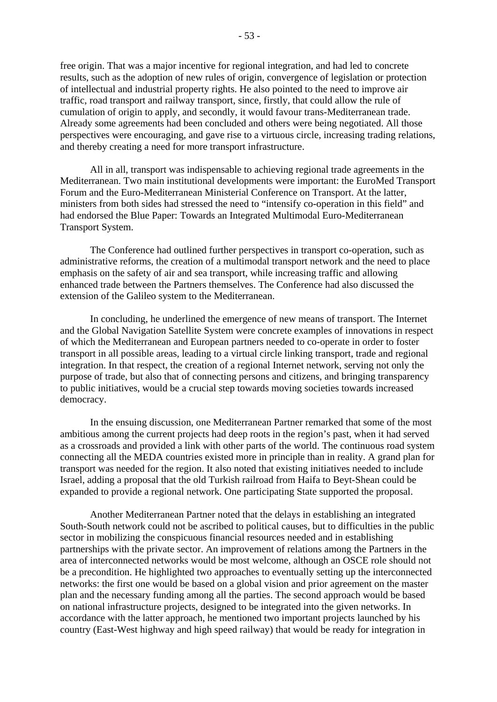free origin. That was a major incentive for regional integration, and had led to concrete results, such as the adoption of new rules of origin, convergence of legislation or protection of intellectual and industrial property rights. He also pointed to the need to improve air traffic, road transport and railway transport, since, firstly, that could allow the rule of cumulation of origin to apply, and secondly, it would favour trans-Mediterranean trade. Already some agreements had been concluded and others were being negotiated. All those perspectives were encouraging, and gave rise to a virtuous circle, increasing trading relations, and thereby creating a need for more transport infrastructure.

 All in all, transport was indispensable to achieving regional trade agreements in the Mediterranean. Two main institutional developments were important: the EuroMed Transport Forum and the Euro-Mediterranean Ministerial Conference on Transport. At the latter, ministers from both sides had stressed the need to "intensify co-operation in this field" and had endorsed the Blue Paper: Towards an Integrated Multimodal Euro-Mediterranean Transport System.

 The Conference had outlined further perspectives in transport co-operation, such as administrative reforms, the creation of a multimodal transport network and the need to place emphasis on the safety of air and sea transport, while increasing traffic and allowing enhanced trade between the Partners themselves. The Conference had also discussed the extension of the Galileo system to the Mediterranean.

 In concluding, he underlined the emergence of new means of transport. The Internet and the Global Navigation Satellite System were concrete examples of innovations in respect of which the Mediterranean and European partners needed to co-operate in order to foster transport in all possible areas, leading to a virtual circle linking transport, trade and regional integration. In that respect, the creation of a regional Internet network, serving not only the purpose of trade, but also that of connecting persons and citizens, and bringing transparency to public initiatives, would be a crucial step towards moving societies towards increased democracy.

 In the ensuing discussion, one Mediterranean Partner remarked that some of the most ambitious among the current projects had deep roots in the region's past, when it had served as a crossroads and provided a link with other parts of the world. The continuous road system connecting all the MEDA countries existed more in principle than in reality. A grand plan for transport was needed for the region. It also noted that existing initiatives needed to include Israel, adding a proposal that the old Turkish railroad from Haifa to Beyt-Shean could be expanded to provide a regional network. One participating State supported the proposal.

 Another Mediterranean Partner noted that the delays in establishing an integrated South-South network could not be ascribed to political causes, but to difficulties in the public sector in mobilizing the conspicuous financial resources needed and in establishing partnerships with the private sector. An improvement of relations among the Partners in the area of interconnected networks would be most welcome, although an OSCE role should not be a precondition. He highlighted two approaches to eventually setting up the interconnected networks: the first one would be based on a global vision and prior agreement on the master plan and the necessary funding among all the parties. The second approach would be based on national infrastructure projects, designed to be integrated into the given networks. In accordance with the latter approach, he mentioned two important projects launched by his country (East-West highway and high speed railway) that would be ready for integration in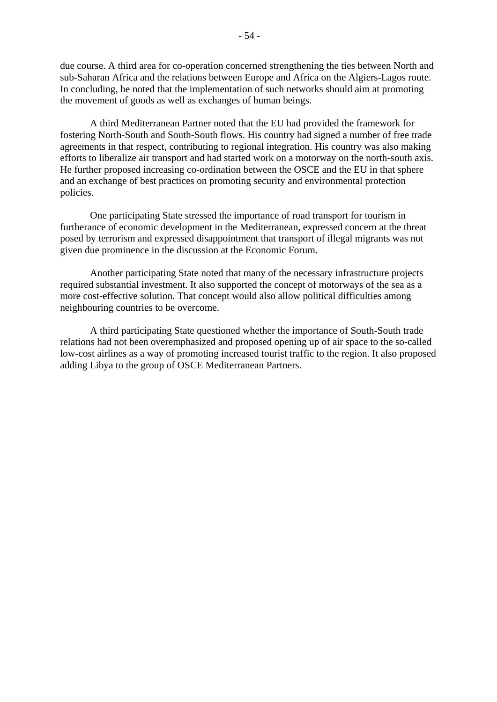due course. A third area for co-operation concerned strengthening the ties between North and sub-Saharan Africa and the relations between Europe and Africa on the Algiers-Lagos route. In concluding, he noted that the implementation of such networks should aim at promoting the movement of goods as well as exchanges of human beings.

 A third Mediterranean Partner noted that the EU had provided the framework for fostering North-South and South-South flows. His country had signed a number of free trade agreements in that respect, contributing to regional integration. His country was also making efforts to liberalize air transport and had started work on a motorway on the north-south axis. He further proposed increasing co-ordination between the OSCE and the EU in that sphere and an exchange of best practices on promoting security and environmental protection policies.

 One participating State stressed the importance of road transport for tourism in furtherance of economic development in the Mediterranean, expressed concern at the threat posed by terrorism and expressed disappointment that transport of illegal migrants was not given due prominence in the discussion at the Economic Forum.

 Another participating State noted that many of the necessary infrastructure projects required substantial investment. It also supported the concept of motorways of the sea as a more cost-effective solution. That concept would also allow political difficulties among neighbouring countries to be overcome.

 A third participating State questioned whether the importance of South-South trade relations had not been overemphasized and proposed opening up of air space to the so-called low-cost airlines as a way of promoting increased tourist traffic to the region. It also proposed adding Libya to the group of OSCE Mediterranean Partners.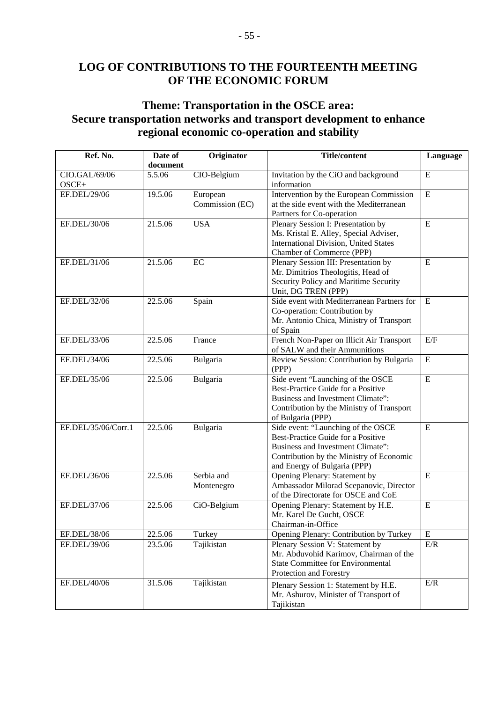# **LOG OF CONTRIBUTIONS TO THE FOURTEENTH MEETING OF THE ECONOMIC FORUM**

# **Theme: Transportation in the OSCE area: Secure transportation networks and transport development to enhance regional economic co-operation and stability**

| Ref. No.              | Date of<br>document | Originator                  | <b>Title/content</b>                                                           | Language       |
|-----------------------|---------------------|-----------------------------|--------------------------------------------------------------------------------|----------------|
| CIO.GAL/69/06         | 5.5.06              | CIO-Belgium                 | Invitation by the CiO and background                                           | ${\bf E}$      |
| OSCE+<br>EF.DEL/29/06 | 19.5.06             |                             | information<br>Intervention by the European Commission                         | ${\bf E}$      |
|                       |                     | European<br>Commission (EC) | at the side event with the Mediterranean                                       |                |
|                       |                     |                             | Partners for Co-operation                                                      |                |
| EF.DEL/30/06          | 21.5.06             | <b>USA</b>                  | Plenary Session I: Presentation by                                             | $\overline{E}$ |
|                       |                     |                             | Ms. Kristal E. Alley, Special Adviser,                                         |                |
|                       |                     |                             | <b>International Division, United States</b>                                   |                |
|                       |                     |                             | Chamber of Commerce (PPP)                                                      |                |
| EF.DEL/31/06          | 21.5.06             | EC                          | Plenary Session III: Presentation by                                           | ${\bf E}$      |
|                       |                     |                             | Mr. Dimitrios Theologitis, Head of                                             |                |
|                       |                     |                             | Security Policy and Maritime Security                                          |                |
|                       |                     |                             | Unit, DG TREN (PPP)                                                            |                |
| EF.DEL/32/06          | 22.5.06             | Spain                       | Side event with Mediterranean Partners for                                     | $\mathbf E$    |
|                       |                     |                             | Co-operation: Contribution by                                                  |                |
|                       |                     |                             | Mr. Antonio Chica, Ministry of Transport                                       |                |
|                       |                     |                             | of Spain                                                                       |                |
| EF.DEL/33/06          | 22.5.06             | France                      | French Non-Paper on Illicit Air Transport                                      | E/F            |
|                       |                     |                             | of SALW and their Ammunitions                                                  |                |
| EF.DEL/34/06          | 22.5.06             | Bulgaria                    | Review Session: Contribution by Bulgaria<br>(PPP)                              | $\mathbf E$    |
| EF.DEL/35/06          | 22.5.06             | Bulgaria                    | Side event "Launching of the OSCE                                              | $\mathbf E$    |
|                       |                     |                             | Best-Practice Guide for a Positive                                             |                |
|                       |                     |                             | Business and Investment Climate":                                              |                |
|                       |                     |                             | Contribution by the Ministry of Transport                                      |                |
|                       |                     |                             | of Bulgaria (PPP)                                                              |                |
| EF.DEL/35/06/Corr.1   | 22.5.06             | Bulgaria                    | Side event: "Launching of the OSCE                                             | E              |
|                       |                     |                             | Best-Practice Guide for a Positive                                             |                |
|                       |                     |                             | Business and Investment Climate":                                              |                |
|                       |                     |                             | Contribution by the Ministry of Economic                                       |                |
|                       |                     |                             | and Energy of Bulgaria (PPP)                                                   |                |
| EF.DEL/36/06          | 22.5.06             | Serbia and                  | Opening Plenary: Statement by                                                  | E              |
|                       |                     | Montenegro                  | Ambassador Milorad Scepanovic, Director<br>of the Directorate for OSCE and CoE |                |
| EF.DEL/37/06          | 22.5.06             | CiO-Belgium                 | Opening Plenary: Statement by H.E.                                             | ${\bf E}$      |
|                       |                     |                             | Mr. Karel De Gucht, OSCE                                                       |                |
|                       |                     |                             | Chairman-in-Office                                                             |                |
| EF.DEL/38/06          | 22.5.06             | Turkey                      | Opening Plenary: Contribution by Turkey                                        | ${\bf E}$      |
| EF.DEL/39/06          | 23.5.06             | Tajikistan                  | Plenary Session V: Statement by                                                | E/R            |
|                       |                     |                             | Mr. Abduvohid Karimov, Chairman of the                                         |                |
|                       |                     |                             | <b>State Committee for Environmental</b>                                       |                |
|                       |                     |                             | Protection and Forestry                                                        |                |
| EF.DEL/40/06          | 31.5.06             | Tajikistan                  | Plenary Session 1: Statement by H.E.                                           | E/R            |
|                       |                     |                             | Mr. Ashurov, Minister of Transport of                                          |                |
|                       |                     |                             | Tajikistan                                                                     |                |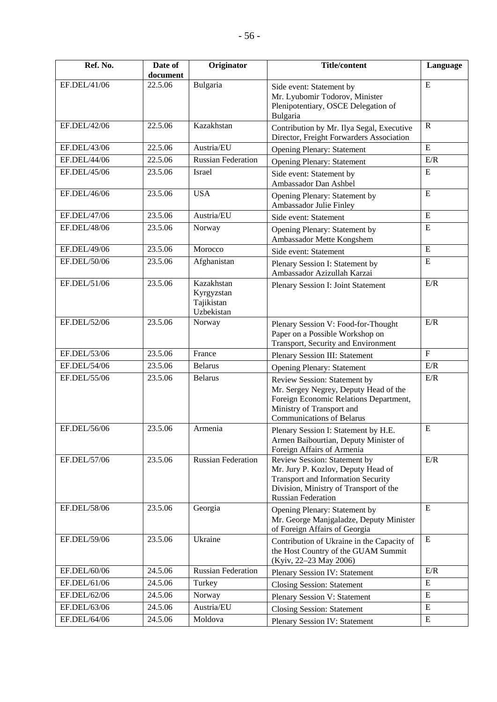| Ref. No.     | Date of<br>document | Originator                                           | <b>Title/content</b>                                                                                                                                                                   | Language     |
|--------------|---------------------|------------------------------------------------------|----------------------------------------------------------------------------------------------------------------------------------------------------------------------------------------|--------------|
| EF.DEL/41/06 | 22.5.06             | Bulgaria                                             | Side event: Statement by<br>Mr. Lyubomir Todorov, Minister<br>Plenipotentiary, OSCE Delegation of<br>Bulgaria                                                                          | E            |
| EF.DEL/42/06 | 22.5.06             | Kazakhstan                                           | Contribution by Mr. Ilya Segal, Executive<br>Director, Freight Forwarders Association                                                                                                  | $\mathbf R$  |
| EF.DEL/43/06 | 22.5.06             | Austria/EU                                           | <b>Opening Plenary: Statement</b>                                                                                                                                                      | E            |
| EF.DEL/44/06 | 22.5.06             | <b>Russian Federation</b>                            | <b>Opening Plenary: Statement</b>                                                                                                                                                      | E/R          |
| EF.DEL/45/06 | 23.5.06             | Israel                                               | Side event: Statement by<br>Ambassador Dan Ashbel                                                                                                                                      | E            |
| EF.DEL/46/06 | 23.5.06             | <b>USA</b>                                           | Opening Plenary: Statement by<br>Ambassador Julie Finley                                                                                                                               | E            |
| EF.DEL/47/06 | 23.5.06             | Austria/EU                                           | Side event: Statement                                                                                                                                                                  | E            |
| EF.DEL/48/06 | 23.5.06             | Norway                                               | Opening Plenary: Statement by<br>Ambassador Mette Kongshem                                                                                                                             | E            |
| EF.DEL/49/06 | 23.5.06             | Morocco                                              | Side event: Statement                                                                                                                                                                  | E            |
| EF.DEL/50/06 | 23.5.06             | Afghanistan                                          | Plenary Session I: Statement by<br>Ambassador Azizullah Karzai                                                                                                                         | E            |
| EF.DEL/51/06 | 23.5.06             | Kazakhstan<br>Kyrgyzstan<br>Tajikistan<br>Uzbekistan | Plenary Session I: Joint Statement                                                                                                                                                     | E/R          |
| EF.DEL/52/06 | 23.5.06             | Norway                                               | Plenary Session V: Food-for-Thought<br>Paper on a Possible Workshop on<br>Transport, Security and Environment                                                                          | E/R          |
| EF.DEL/53/06 | 23.5.06             | France                                               | Plenary Session III: Statement                                                                                                                                                         | $\mathbf{F}$ |
| EF.DEL/54/06 | 23.5.06             | <b>Belarus</b>                                       | <b>Opening Plenary: Statement</b>                                                                                                                                                      | E/R          |
| EF.DEL/55/06 | 23.5.06             | <b>Belarus</b>                                       | Review Session: Statement by<br>Mr. Sergey Negrey, Deputy Head of the<br>Foreign Economic Relations Department,<br>Ministry of Transport and<br><b>Communications of Belarus</b>       | E/R          |
| EF.DEL/56/06 | 23.5.06             | Armenia                                              | Plenary Session I: Statement by H.E.<br>Armen Baibourtian, Deputy Minister of<br>Foreign Affairs of Armenia                                                                            | ${\bf E}$    |
| EF.DEL/57/06 | 23.5.06             | <b>Russian Federation</b>                            | Review Session: Statement by<br>Mr. Jury P. Kozlov, Deputy Head of<br><b>Transport and Information Security</b><br>Division, Ministry of Transport of the<br><b>Russian Federation</b> | E/R          |
| EF.DEL/58/06 | 23.5.06             | Georgia                                              | Opening Plenary: Statement by<br>Mr. George Manjgaladze, Deputy Minister<br>of Foreign Affairs of Georgia                                                                              | E            |
| EF.DEL/59/06 | 23.5.06             | Ukraine                                              | Contribution of Ukraine in the Capacity of<br>the Host Country of the GUAM Summit<br>(Kyiv, 22-23 May 2006)                                                                            | ${\bf E}$    |
| EF.DEL/60/06 | 24.5.06             | <b>Russian Federation</b>                            | <b>Plenary Session IV: Statement</b>                                                                                                                                                   | E/R          |
| EF.DEL/61/06 | 24.5.06             | Turkey                                               | <b>Closing Session: Statement</b>                                                                                                                                                      | E            |
| EF.DEL/62/06 | 24.5.06             | Norway                                               | Plenary Session V: Statement                                                                                                                                                           | E            |
| EF.DEL/63/06 | 24.5.06             | Austria/EU                                           | <b>Closing Session: Statement</b>                                                                                                                                                      | E            |
| EF.DEL/64/06 | 24.5.06             | Moldova                                              | Plenary Session IV: Statement                                                                                                                                                          | E            |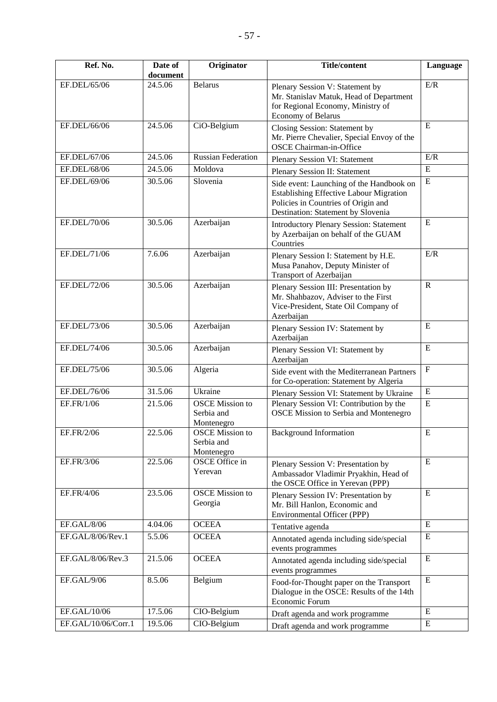| Ref. No.          | Date of<br>document | Originator                                         | <b>Title/content</b>                                                                                                                                                    | Language    |
|-------------------|---------------------|----------------------------------------------------|-------------------------------------------------------------------------------------------------------------------------------------------------------------------------|-------------|
| EF.DEL/65/06      | 24.5.06             | <b>Belarus</b>                                     | Plenary Session V: Statement by<br>Mr. Stanislav Matuk, Head of Department<br>for Regional Economy, Ministry of<br>Economy of Belarus                                   | E/R         |
| EF.DEL/66/06      | 24.5.06             | CiO-Belgium                                        | Closing Session: Statement by<br>Mr. Pierre Chevalier, Special Envoy of the<br><b>OSCE Chairman-in-Office</b>                                                           | E           |
| EF.DEL/67/06      | 24.5.06             | <b>Russian Federation</b>                          | Plenary Session VI: Statement                                                                                                                                           | E/R         |
| EF.DEL/68/06      | 24.5.06             | Moldova                                            | Plenary Session II: Statement                                                                                                                                           | E           |
| EF.DEL/69/06      | 30.5.06             | Slovenia                                           | Side event: Launching of the Handbook on<br><b>Establishing Effective Labour Migration</b><br>Policies in Countries of Origin and<br>Destination: Statement by Slovenia | $\mathbf E$ |
| EF.DEL/70/06      | 30.5.06             | Azerbaijan                                         | <b>Introductory Plenary Session: Statement</b><br>by Azerbaijan on behalf of the GUAM<br>Countries                                                                      | E           |
| EF.DEL/71/06      | 7.6.06              | Azerbaijan                                         | Plenary Session I: Statement by H.E.<br>Musa Panahov, Deputy Minister of<br>Transport of Azerbaijan                                                                     | E/R         |
| EF.DEL/72/06      | 30.5.06             | Azerbaijan                                         | Plenary Session III: Presentation by<br>Mr. Shahbazov, Adviser to the First<br>Vice-President, State Oil Company of<br>Azerbaijan                                       | $\mathbf R$ |
| EF.DEL/73/06      | 30.5.06             | Azerbaijan                                         | Plenary Session IV: Statement by<br>Azerbaijan                                                                                                                          | E           |
| EF.DEL/74/06      | 30.5.06             | Azerbaijan                                         | Plenary Session VI: Statement by<br>Azerbaijan                                                                                                                          | E           |
| EF.DEL/75/06      | 30.5.06             | Algeria                                            | Side event with the Mediterranean Partners<br>for Co-operation: Statement by Algeria                                                                                    | ${\bf F}$   |
| EF.DEL/76/06      | 31.5.06             | Ukraine                                            | Plenary Session VI: Statement by Ukraine                                                                                                                                | ${\bf E}$   |
| EF.FR/1/06        | 21.5.06             | <b>OSCE</b> Mission to<br>Serbia and<br>Montenegro | Plenary Session VI: Contribution by the<br>OSCE Mission to Serbia and Montenegro                                                                                        | E           |
| EF.FR/2/06        | 22.5.06             | <b>OSCE</b> Mission to<br>Serbia and<br>Montenegro | <b>Background Information</b>                                                                                                                                           | E           |
| EF.FR/3/06        | 22.5.06             | OSCE Office in<br>Yerevan                          | Plenary Session V: Presentation by<br>Ambassador Vladimir Pryakhin, Head of<br>the OSCE Office in Yerevan (PPP)                                                         | E           |
| EF.FR/4/06        | 23.5.06             | <b>OSCE</b> Mission to<br>Georgia                  | Plenary Session IV: Presentation by<br>Mr. Bill Hanlon, Economic and<br>Environmental Officer (PPP)                                                                     | E           |
| EF.GAL/8/06       | 4.04.06             | <b>OCEEA</b>                                       | Tentative agenda                                                                                                                                                        | E           |
| EF.GAL/8/06/Rev.1 | 5.5.06              | <b>OCEEA</b>                                       | Annotated agenda including side/special<br>events programmes                                                                                                            | E           |
| EF.GAL/8/06/Rev.3 | 21.5.06             | <b>OCEEA</b>                                       | Annotated agenda including side/special<br>events programmes                                                                                                            | E           |
| EF.GAL/9/06       | 8.5.06              | Belgium                                            | Food-for-Thought paper on the Transport<br>Dialogue in the OSCE: Results of the 14th<br>Economic Forum                                                                  | E           |

EF.GAL/10/06 17.5.06 CIO-Belgium Draft agenda and work programme E<br>EF.GAL/10/06/Corr.1 19.5.06 CIO-Belgium Draft agenda and work programme E

Draft agenda and work programme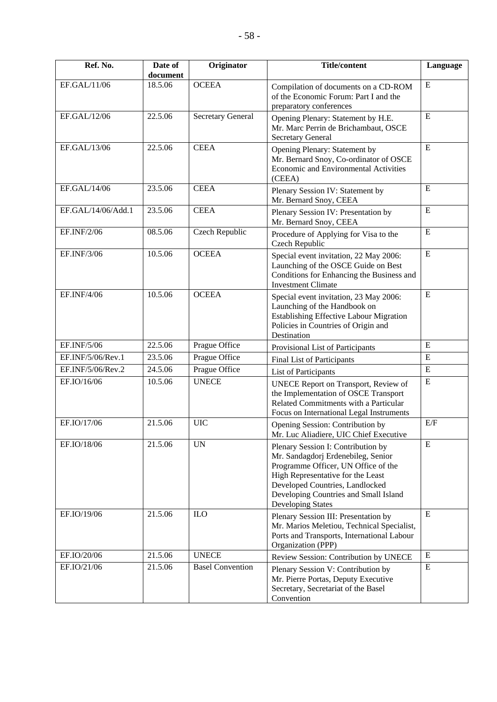| Ref. No.           | Date of<br>document | Originator               | <b>Title/content</b>                                                                                                                                                                                                                                  | Language  |
|--------------------|---------------------|--------------------------|-------------------------------------------------------------------------------------------------------------------------------------------------------------------------------------------------------------------------------------------------------|-----------|
| EF.GAL/11/06       | 18.5.06             | <b>OCEEA</b>             | Compilation of documents on a CD-ROM<br>of the Economic Forum: Part I and the<br>preparatory conferences                                                                                                                                              | E         |
| EF.GAL/12/06       | 22.5.06             | <b>Secretary General</b> | Opening Plenary: Statement by H.E.<br>Mr. Marc Perrin de Brichambaut, OSCE<br><b>Secretary General</b>                                                                                                                                                | E         |
| EF.GAL/13/06       | 22.5.06             | <b>CEEA</b>              | Opening Plenary: Statement by<br>Mr. Bernard Snoy, Co-ordinator of OSCE<br>Economic and Environmental Activities<br>(CEEA)                                                                                                                            | ${\bf E}$ |
| EF.GAL/14/06       | 23.5.06             | <b>CEEA</b>              | Plenary Session IV: Statement by<br>Mr. Bernard Snoy, CEEA                                                                                                                                                                                            | E         |
| EF.GAL/14/06/Add.1 | 23.5.06             | <b>CEEA</b>              | Plenary Session IV: Presentation by<br>Mr. Bernard Snoy, CEEA                                                                                                                                                                                         | E         |
| EF.INF/2/06        | 08.5.06             | Czech Republic           | Procedure of Applying for Visa to the<br>Czech Republic                                                                                                                                                                                               | E         |
| EF.INF/3/06        | 10.5.06             | <b>OCEEA</b>             | Special event invitation, 22 May 2006:<br>Launching of the OSCE Guide on Best<br>Conditions for Enhancing the Business and<br><b>Investment Climate</b>                                                                                               | E         |
| EF.INF/4/06        | 10.5.06             | <b>OCEEA</b>             | Special event invitation, 23 May 2006:<br>Launching of the Handbook on<br><b>Establishing Effective Labour Migration</b><br>Policies in Countries of Origin and<br>Destination                                                                        | ${\bf E}$ |
| EF.INF/5/06        | 22.5.06             | Prague Office            | Provisional List of Participants                                                                                                                                                                                                                      | ${\bf E}$ |
| EF.INF/5/06/Rev.1  | 23.5.06             | Prague Office            | Final List of Participants                                                                                                                                                                                                                            | ${\bf E}$ |
| EF.INF/5/06/Rev.2  | 24.5.06             | Prague Office            | List of Participants                                                                                                                                                                                                                                  | E         |
| EF.IO/16/06        | 10.5.06             | <b>UNECE</b>             | UNECE Report on Transport, Review of<br>the Implementation of OSCE Transport<br>Related Commitments with a Particular<br>Focus on International Legal Instruments                                                                                     | ${\bf E}$ |
| EF.IO/17/06        | 21.5.06             | <b>UIC</b>               | Opening Session: Contribution by<br>Mr. Luc Aliadiere, UIC Chief Executive                                                                                                                                                                            | E/F       |
| EF.IO/18/06        | 21.5.06             | <b>UN</b>                | Plenary Session I: Contribution by<br>Mr. Sandagdorj Erdenebileg, Senior<br>Programme Officer, UN Office of the<br>High Representative for the Least<br>Developed Countries, Landlocked<br>Developing Countries and Small Island<br>Developing States | E         |
| EF.IO/19/06        | 21.5.06             | <b>ILO</b>               | Plenary Session III: Presentation by<br>Mr. Marios Meletiou, Technical Specialist,<br>Ports and Transports, International Labour<br>Organization (PPP)                                                                                                | ${\bf E}$ |
| EF.IO/20/06        | 21.5.06             | <b>UNECE</b>             | Review Session: Contribution by UNECE                                                                                                                                                                                                                 | E         |
| EF.IO/21/06        | 21.5.06             | <b>Basel Convention</b>  | Plenary Session V: Contribution by<br>Mr. Pierre Portas, Deputy Executive<br>Secretary, Secretariat of the Basel<br>Convention                                                                                                                        | ${\bf E}$ |